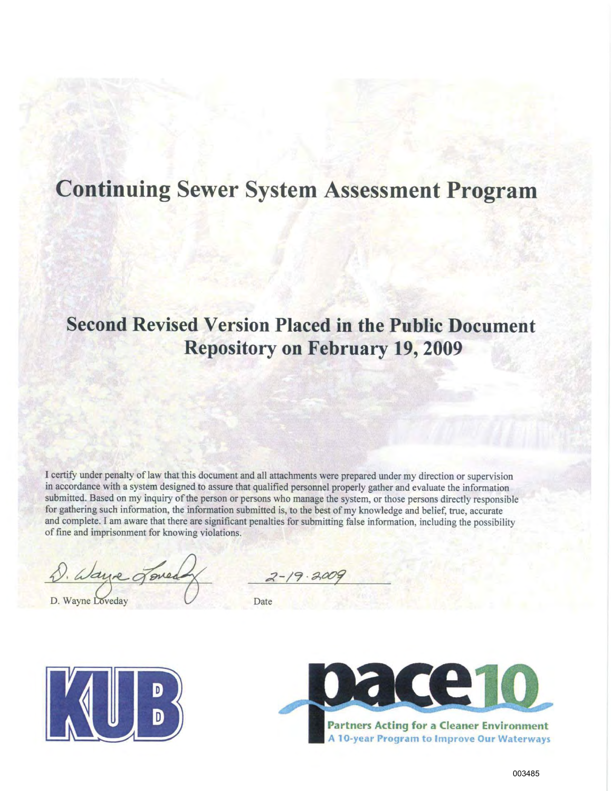# **Continuing Sewer System Assessment Program**

# **Second Revised Version Placed in the Public Document Repository on February 19, 2009**

I certify under penalty of law that this document and all attachments were prepared under my direction or supervision in accordance with a system designed to assure that qualified personnel properly gather and evaluate the information submitted. Based on my inquiry of the person or persons who manage the system, or those persons directly responsible for gathering such information, the information submitted is, to the best of my knowledge and belief, true, accurate and complete. I am aware that there are significant penalties for submitting false information, including the possibility of fine and imprisonment for knowing violations.

Toned Ways.

D. Wayne Loveday

Date



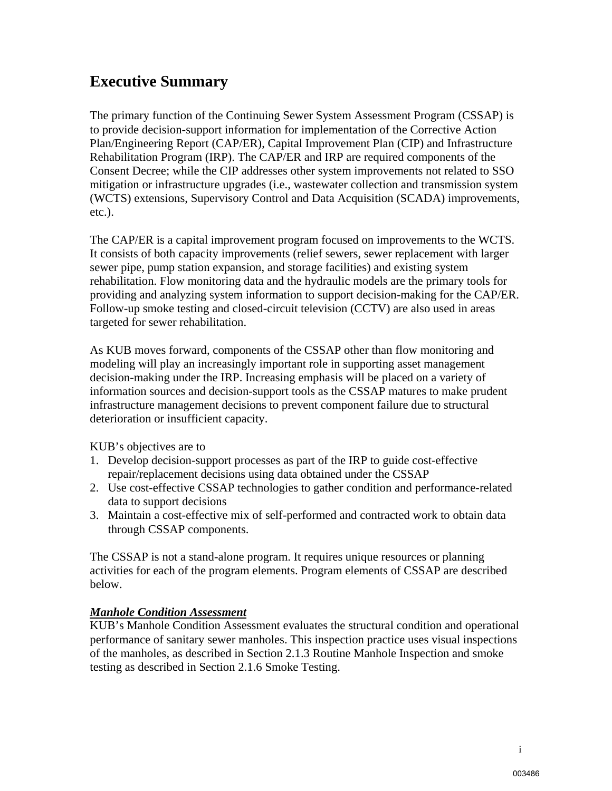# **Executive Summary**

The primary function of the Continuing Sewer System Assessment Program (CSSAP) is to provide decision-support information for implementation of the Corrective Action Plan/Engineering Report (CAP/ER), Capital Improvement Plan (CIP) and Infrastructure Rehabilitation Program (IRP). The CAP/ER and IRP are required components of the Consent Decree; while the CIP addresses other system improvements not related to SSO mitigation or infrastructure upgrades (i.e., wastewater collection and transmission system (WCTS) extensions, Supervisory Control and Data Acquisition (SCADA) improvements, etc.).

The CAP/ER is a capital improvement program focused on improvements to the WCTS. It consists of both capacity improvements (relief sewers, sewer replacement with larger sewer pipe, pump station expansion, and storage facilities) and existing system rehabilitation. Flow monitoring data and the hydraulic models are the primary tools for providing and analyzing system information to support decision-making for the CAP/ER. Follow-up smoke testing and closed-circuit television (CCTV) are also used in areas targeted for sewer rehabilitation.

As KUB moves forward, components of the CSSAP other than flow monitoring and modeling will play an increasingly important role in supporting asset management decision-making under the IRP. Increasing emphasis will be placed on a variety of information sources and decision-support tools as the CSSAP matures to make prudent infrastructure management decisions to prevent component failure due to structural deterioration or insufficient capacity.

KUB's objectives are to

- 1. Develop decision-support processes as part of the IRP to guide cost-effective repair/replacement decisions using data obtained under the CSSAP
- 2. Use cost-effective CSSAP technologies to gather condition and performance-related data to support decisions
- 3. Maintain a cost-effective mix of self-performed and contracted work to obtain data through CSSAP components.

The CSSAP is not a stand-alone program. It requires unique resources or planning activities for each of the program elements. Program elements of CSSAP are described below.

# *Manhole Condition Assessment*

KUB's Manhole Condition Assessment evaluates the structural condition and operational performance of sanitary sewer manholes. This inspection practice uses visual inspections of the manholes, as described in Section 2.1.3 Routine Manhole Inspection and smoke testing as described in Section 2.1.6 Smoke Testing.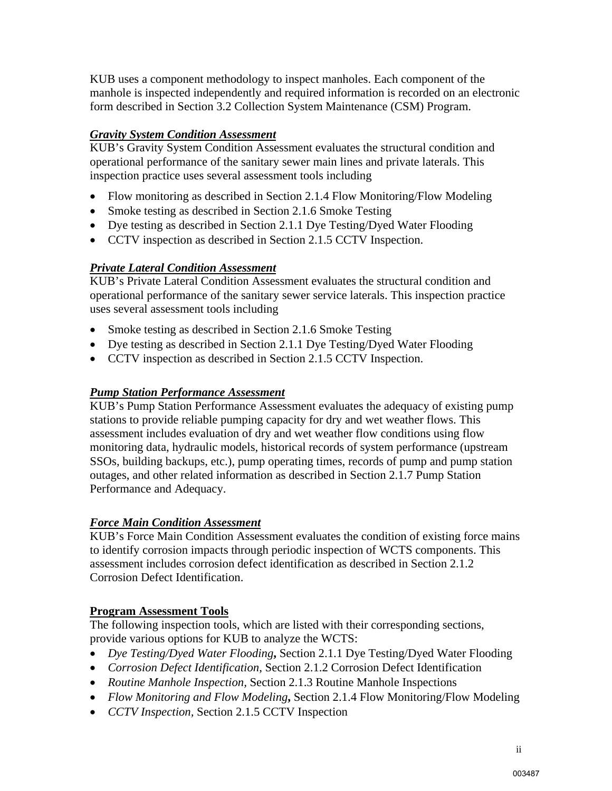KUB uses a component methodology to inspect manholes. Each component of the manhole is inspected independently and required information is recorded on an electronic form described in Section 3.2 Collection System Maintenance (CSM) Program.

# *Gravity System Condition Assessment*

KUB's Gravity System Condition Assessment evaluates the structural condition and operational performance of the sanitary sewer main lines and private laterals. This inspection practice uses several assessment tools including

- Flow monitoring as described in Section 2.1.4 Flow Monitoring/Flow Modeling
- Smoke testing as described in Section 2.1.6 Smoke Testing
- Dye testing as described in Section 2.1.1 Dye Testing/Dyed Water Flooding
- CCTV inspection as described in Section 2.1.5 CCTV Inspection.

# *Private Lateral Condition Assessment*

KUB's Private Lateral Condition Assessment evaluates the structural condition and operational performance of the sanitary sewer service laterals. This inspection practice uses several assessment tools including

- Smoke testing as described in Section 2.1.6 Smoke Testing
- Dye testing as described in Section 2.1.1 Dye Testing/Dyed Water Flooding
- CCTV inspection as described in Section 2.1.5 CCTV Inspection.

# *Pump Station Performance Assessment*

KUB's Pump Station Performance Assessment evaluates the adequacy of existing pump stations to provide reliable pumping capacity for dry and wet weather flows. This assessment includes evaluation of dry and wet weather flow conditions using flow monitoring data, hydraulic models, historical records of system performance (upstream SSOs, building backups, etc.), pump operating times, records of pump and pump station outages, and other related information as described in Section 2.1.7 Pump Station Performance and Adequacy.

# *Force Main Condition Assessment*

KUB's Force Main Condition Assessment evaluates the condition of existing force mains to identify corrosion impacts through periodic inspection of WCTS components. This assessment includes corrosion defect identification as described in Section 2.1.2 Corrosion Defect Identification.

# **Program Assessment Tools**

The following inspection tools, which are listed with their corresponding sections, provide various options for KUB to analyze the WCTS:

- *Dye Testing/Dyed Water Flooding***,** Section 2.1.1 Dye Testing/Dyed Water Flooding
- *Corrosion Defect Identification*, Section 2.1.2 Corrosion Defect Identification
- *Routine Manhole Inspection,* Section 2.1.3 Routine Manhole Inspections
- *Flow Monitoring and Flow Modeling***,** Section 2.1.4 Flow Monitoring/Flow Modeling
- *CCTV Inspection,* Section 2.1.5 CCTV Inspection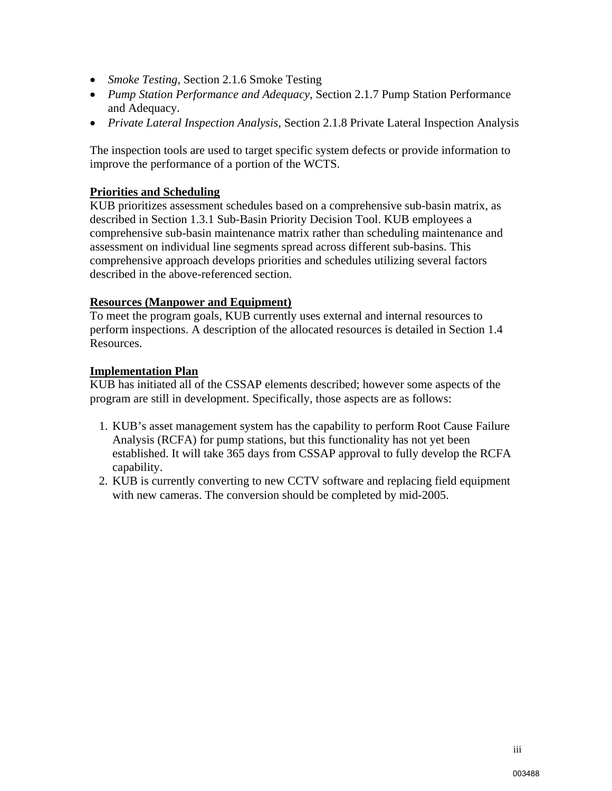- *Smoke Testing,* Section 2.1.6 Smoke Testing
- *Pump Station Performance and Adequacy,* Section 2.1.7 Pump Station Performance and Adequacy.
- *Private Lateral Inspection Analysis,* Section 2.1.8 Private Lateral Inspection Analysis

The inspection tools are used to target specific system defects or provide information to improve the performance of a portion of the WCTS.

# **Priorities and Scheduling**

KUB prioritizes assessment schedules based on a comprehensive sub-basin matrix, as described in Section 1.3.1 Sub-Basin Priority Decision Tool. KUB employees a comprehensive sub-basin maintenance matrix rather than scheduling maintenance and assessment on individual line segments spread across different sub-basins. This comprehensive approach develops priorities and schedules utilizing several factors described in the above-referenced section.

# **Resources (Manpower and Equipment)**

To meet the program goals, KUB currently uses external and internal resources to perform inspections. A description of the allocated resources is detailed in Section 1.4 Resources.

#### **Implementation Plan**

KUB has initiated all of the CSSAP elements described; however some aspects of the program are still in development. Specifically, those aspects are as follows:

- 1. KUB's asset management system has the capability to perform Root Cause Failure Analysis (RCFA) for pump stations, but this functionality has not yet been established. It will take 365 days from CSSAP approval to fully develop the RCFA capability.
- 2. KUB is currently converting to new CCTV software and replacing field equipment with new cameras. The conversion should be completed by mid-2005.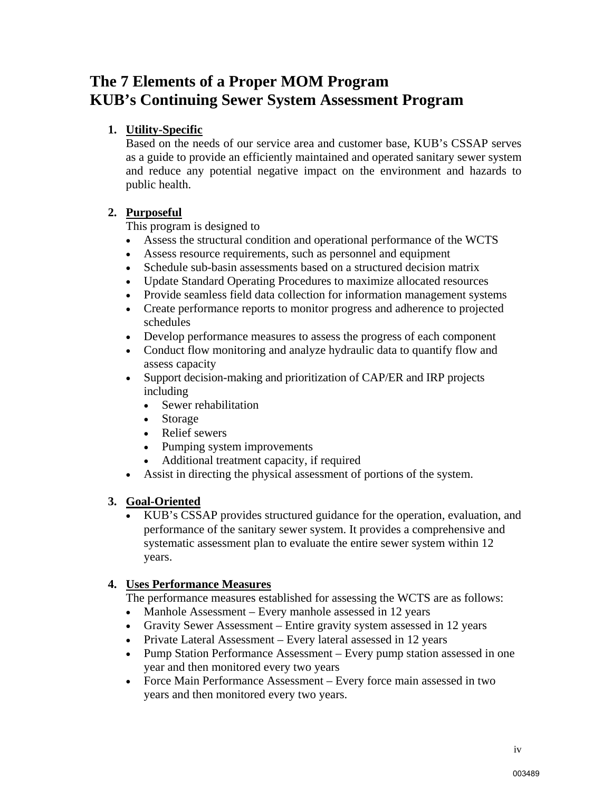# **The 7 Elements of a Proper MOM Program KUB's Continuing Sewer System Assessment Program**

# **1. Utility-Specific**

Based on the needs of our service area and customer base, KUB's CSSAP serves as a guide to provide an efficiently maintained and operated sanitary sewer system and reduce any potential negative impact on the environment and hazards to public health.

# **2. Purposeful**

This program is designed to

- Assess the structural condition and operational performance of the WCTS
- Assess resource requirements, such as personnel and equipment
- Schedule sub-basin assessments based on a structured decision matrix
- Update Standard Operating Procedures to maximize allocated resources
- Provide seamless field data collection for information management systems
- Create performance reports to monitor progress and adherence to projected schedules
- Develop performance measures to assess the progress of each component
- Conduct flow monitoring and analyze hydraulic data to quantify flow and assess capacity
- Support decision-making and prioritization of CAP/ER and IRP projects including
	- Sewer rehabilitation
	- Storage
	- Relief sewers
	- Pumping system improvements
	- Additional treatment capacity, if required
- Assist in directing the physical assessment of portions of the system.

# **3. Goal-Oriented**

 KUB's CSSAP provides structured guidance for the operation, evaluation, and performance of the sanitary sewer system. It provides a comprehensive and systematic assessment plan to evaluate the entire sewer system within 12 years.

# **4. Uses Performance Measures**

The performance measures established for assessing the WCTS are as follows:

- Manhole Assessment Every manhole assessed in 12 years
- Gravity Sewer Assessment Entire gravity system assessed in 12 years
- Private Lateral Assessment Every lateral assessed in 12 years
- Pump Station Performance Assessment Every pump station assessed in one year and then monitored every two years
- Force Main Performance Assessment Every force main assessed in two years and then monitored every two years.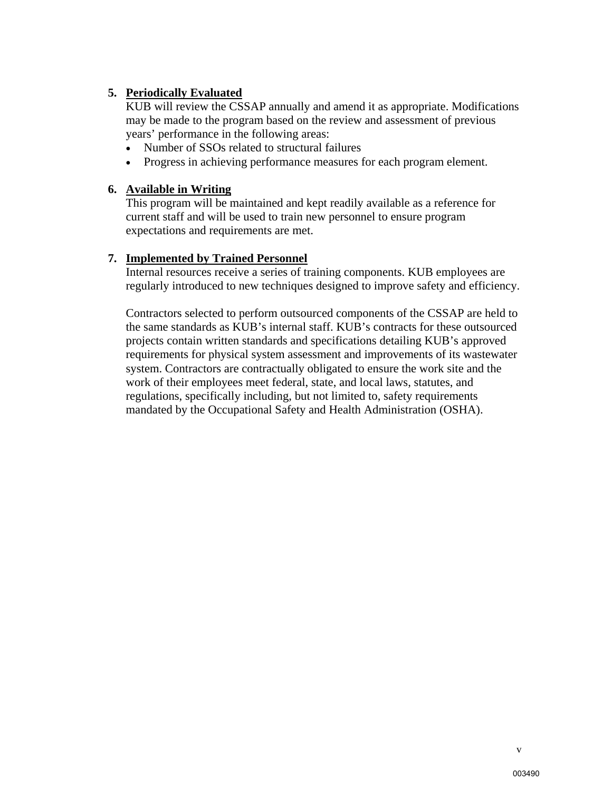# **5. Periodically Evaluated**

KUB will review the CSSAP annually and amend it as appropriate. Modifications may be made to the program based on the review and assessment of previous years' performance in the following areas:

- Number of SSOs related to structural failures
- Progress in achieving performance measures for each program element.

#### **6. Available in Writing**

This program will be maintained and kept readily available as a reference for current staff and will be used to train new personnel to ensure program expectations and requirements are met.

#### **7. Implemented by Trained Personnel**

Internal resources receive a series of training components. KUB employees are regularly introduced to new techniques designed to improve safety and efficiency.

Contractors selected to perform outsourced components of the CSSAP are held to the same standards as KUB's internal staff. KUB's contracts for these outsourced projects contain written standards and specifications detailing KUB's approved requirements for physical system assessment and improvements of its wastewater system. Contractors are contractually obligated to ensure the work site and the work of their employees meet federal, state, and local laws, statutes, and regulations, specifically including, but not limited to, safety requirements mandated by the Occupational Safety and Health Administration (OSHA).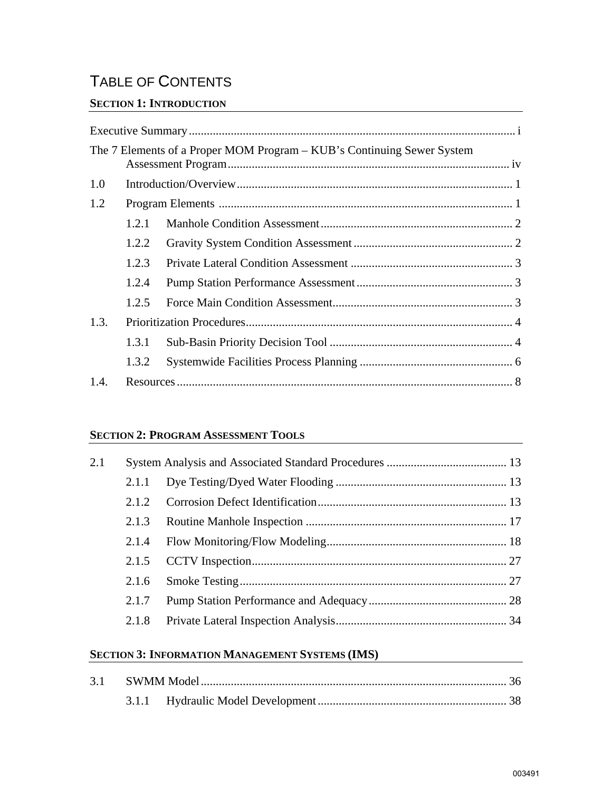# TABLE OF CONTENTS

# **SECTION 1: INTRODUCTION**

|      |       | The 7 Elements of a Proper MOM Program – KUB's Continuing Sewer System |  |  |  |  |  |
|------|-------|------------------------------------------------------------------------|--|--|--|--|--|
| 1.0  |       |                                                                        |  |  |  |  |  |
| 1.2  |       |                                                                        |  |  |  |  |  |
|      | 1.2.1 |                                                                        |  |  |  |  |  |
|      | 1.2.2 |                                                                        |  |  |  |  |  |
|      | 1.2.3 |                                                                        |  |  |  |  |  |
|      | 1.2.4 |                                                                        |  |  |  |  |  |
|      | 1.2.5 |                                                                        |  |  |  |  |  |
| 1.3. |       |                                                                        |  |  |  |  |  |
|      | 1.3.1 |                                                                        |  |  |  |  |  |
|      | 1.3.2 |                                                                        |  |  |  |  |  |
| 1.4. |       |                                                                        |  |  |  |  |  |

# **SECTION 2: PROGRAM ASSESSMENT TOOLS**

# **SECTION 3: INFORMATION MANAGEMENT SYSTEMS (IMS)**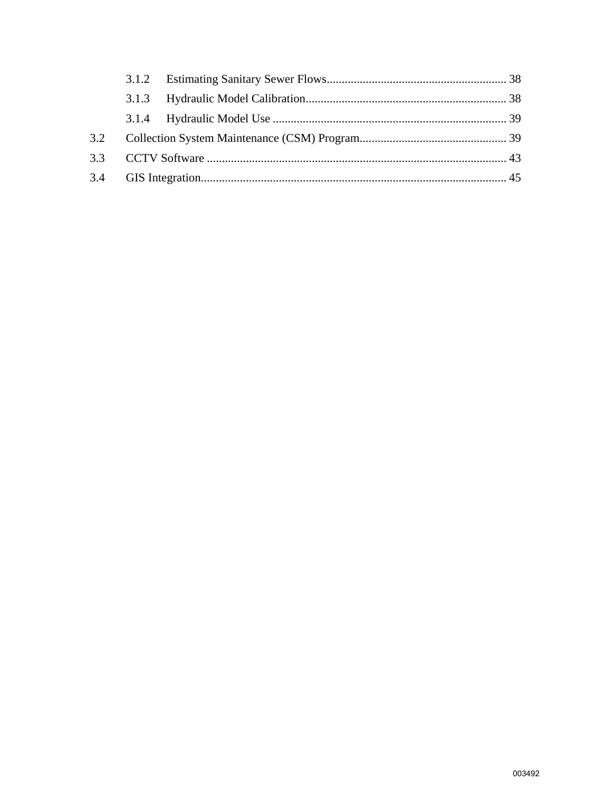| 3.2 |  |  |
|-----|--|--|
|     |  |  |
|     |  |  |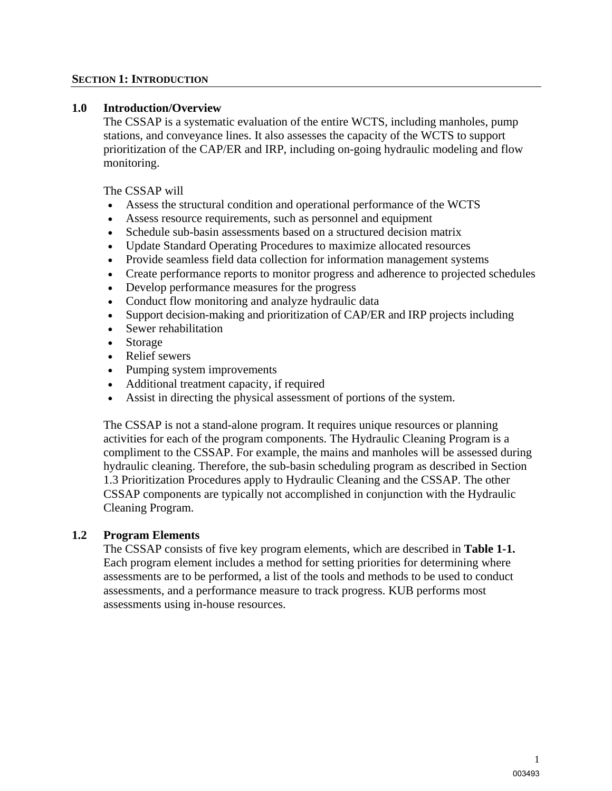#### **SECTION 1: INTRODUCTION**

#### **1.0 Introduction/Overview**

The CSSAP is a systematic evaluation of the entire WCTS, including manholes, pump stations, and conveyance lines. It also assesses the capacity of the WCTS to support prioritization of the CAP/ER and IRP, including on-going hydraulic modeling and flow monitoring.

The CSSAP will

- Assess the structural condition and operational performance of the WCTS
- Assess resource requirements, such as personnel and equipment
- Schedule sub-basin assessments based on a structured decision matrix
- Update Standard Operating Procedures to maximize allocated resources
- Provide seamless field data collection for information management systems
- Create performance reports to monitor progress and adherence to projected schedules
- Develop performance measures for the progress
- Conduct flow monitoring and analyze hydraulic data
- Support decision-making and prioritization of CAP/ER and IRP projects including
- Sewer rehabilitation
- Storage
- Relief sewers
- Pumping system improvements
- Additional treatment capacity, if required
- Assist in directing the physical assessment of portions of the system.

The CSSAP is not a stand-alone program. It requires unique resources or planning activities for each of the program components. The Hydraulic Cleaning Program is a compliment to the CSSAP. For example, the mains and manholes will be assessed during hydraulic cleaning. Therefore, the sub-basin scheduling program as described in Section 1.3 Prioritization Procedures apply to Hydraulic Cleaning and the CSSAP. The other CSSAP components are typically not accomplished in conjunction with the Hydraulic Cleaning Program.

# **1.2 Program Elements**

The CSSAP consists of five key program elements, which are described in **Table 1-1.** Each program element includes a method for setting priorities for determining where assessments are to be performed, a list of the tools and methods to be used to conduct assessments, and a performance measure to track progress. KUB performs most assessments using in-house resources.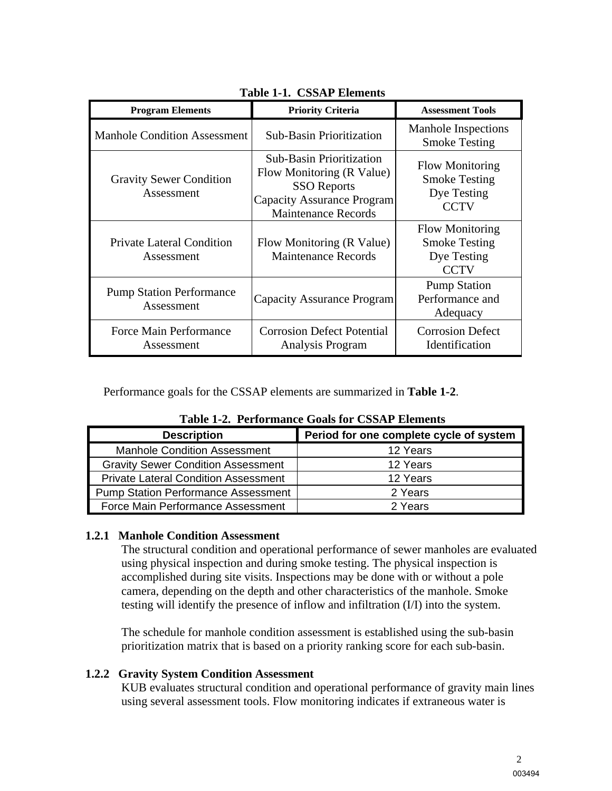| <b>Program Elements</b>                        | <b>Priority Criteria</b>                                                                                                                              | <b>Assessment Tools</b>                                                      |
|------------------------------------------------|-------------------------------------------------------------------------------------------------------------------------------------------------------|------------------------------------------------------------------------------|
| <b>Manhole Condition Assessment</b>            | <b>Sub-Basin Prioritization</b>                                                                                                                       | Manhole Inspections<br><b>Smoke Testing</b>                                  |
| <b>Gravity Sewer Condition</b><br>Assessment   | <b>Sub-Basin Prioritization</b><br>Flow Monitoring (R Value)<br><b>SSO</b> Reports<br><b>Capacity Assurance Program</b><br><b>Maintenance Records</b> | <b>Flow Monitoring</b><br><b>Smoke Testing</b><br>Dye Testing<br><b>CCTV</b> |
| <b>Private Lateral Condition</b><br>Assessment | Flow Monitoring (R Value)<br><b>Maintenance Records</b>                                                                                               | <b>Flow Monitoring</b><br><b>Smoke Testing</b><br>Dye Testing<br><b>CCTV</b> |
| <b>Pump Station Performance</b><br>Assessment  | <b>Capacity Assurance Program</b>                                                                                                                     | <b>Pump Station</b><br>Performance and<br>Adequacy                           |
| Force Main Performance<br>Assessment           | <b>Corrosion Defect Potential</b><br><b>Analysis Program</b>                                                                                          | <b>Corrosion Defect</b><br>Identification                                    |

#### **Table 1-1. CSSAP Elements**

Performance goals for the CSSAP elements are summarized in **Table 1-2**.

| Tuble 1 st I chondruce gould for Coolin Enchicato |                                         |  |  |  |  |  |
|---------------------------------------------------|-----------------------------------------|--|--|--|--|--|
| <b>Description</b>                                | Period for one complete cycle of system |  |  |  |  |  |
| <b>Manhole Condition Assessment</b>               | 12 Years                                |  |  |  |  |  |
| <b>Gravity Sewer Condition Assessment</b>         | 12 Years                                |  |  |  |  |  |
| <b>Private Lateral Condition Assessment</b>       | 12 Years                                |  |  |  |  |  |
| Pump Station Performance Assessment               | 2 Years                                 |  |  |  |  |  |
| Force Main Performance Assessment                 | 2 Years                                 |  |  |  |  |  |

**Table 1-2. Performance Goals for CSSAP Elements** 

#### **1.2.1 Manhole Condition Assessment**

The structural condition and operational performance of sewer manholes are evaluated using physical inspection and during smoke testing. The physical inspection is accomplished during site visits. Inspections may be done with or without a pole camera, depending on the depth and other characteristics of the manhole. Smoke testing will identify the presence of inflow and infiltration (I/I) into the system.

The schedule for manhole condition assessment is established using the sub-basin prioritization matrix that is based on a priority ranking score for each sub-basin.

# **1.2.2 Gravity System Condition Assessment**

KUB evaluates structural condition and operational performance of gravity main lines using several assessment tools. Flow monitoring indicates if extraneous water is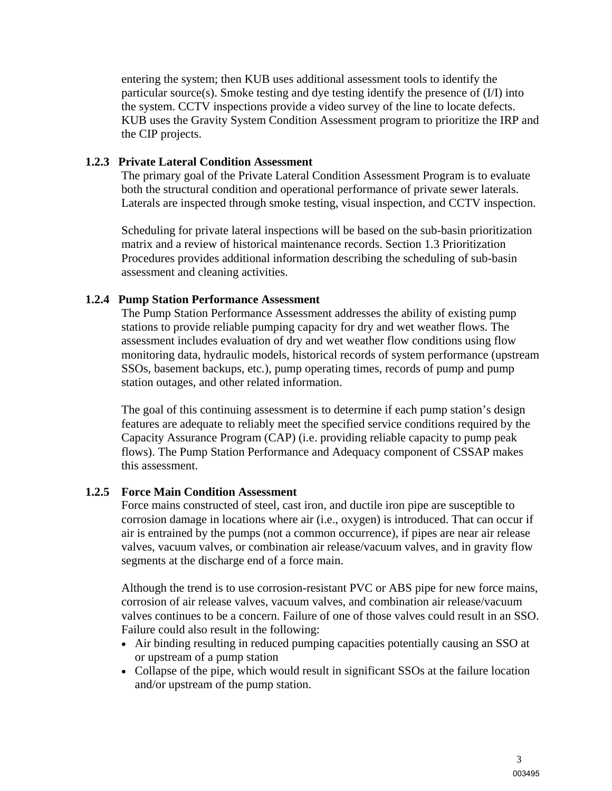entering the system; then KUB uses additional assessment tools to identify the particular source(s). Smoke testing and dye testing identify the presence of (I/I) into the system. CCTV inspections provide a video survey of the line to locate defects. KUB uses the Gravity System Condition Assessment program to prioritize the IRP and the CIP projects.

#### **1.2.3 Private Lateral Condition Assessment**

The primary goal of the Private Lateral Condition Assessment Program is to evaluate both the structural condition and operational performance of private sewer laterals. Laterals are inspected through smoke testing, visual inspection, and CCTV inspection.

Scheduling for private lateral inspections will be based on the sub-basin prioritization matrix and a review of historical maintenance records. Section 1.3 Prioritization Procedures provides additional information describing the scheduling of sub-basin assessment and cleaning activities.

#### **1.2.4 Pump Station Performance Assessment**

The Pump Station Performance Assessment addresses the ability of existing pump stations to provide reliable pumping capacity for dry and wet weather flows. The assessment includes evaluation of dry and wet weather flow conditions using flow monitoring data, hydraulic models, historical records of system performance (upstream SSOs, basement backups, etc.), pump operating times, records of pump and pump station outages, and other related information.

The goal of this continuing assessment is to determine if each pump station's design features are adequate to reliably meet the specified service conditions required by the Capacity Assurance Program (CAP) (i.e. providing reliable capacity to pump peak flows). The Pump Station Performance and Adequacy component of CSSAP makes this assessment.

#### **1.2.5 Force Main Condition Assessment**

Force mains constructed of steel, cast iron, and ductile iron pipe are susceptible to corrosion damage in locations where air (i.e., oxygen) is introduced. That can occur if air is entrained by the pumps (not a common occurrence), if pipes are near air release valves, vacuum valves, or combination air release/vacuum valves, and in gravity flow segments at the discharge end of a force main.

Although the trend is to use corrosion-resistant PVC or ABS pipe for new force mains, corrosion of air release valves, vacuum valves, and combination air release/vacuum valves continues to be a concern. Failure of one of those valves could result in an SSO. Failure could also result in the following:

- Air binding resulting in reduced pumping capacities potentially causing an SSO at or upstream of a pump station
- Collapse of the pipe, which would result in significant SSOs at the failure location and/or upstream of the pump station.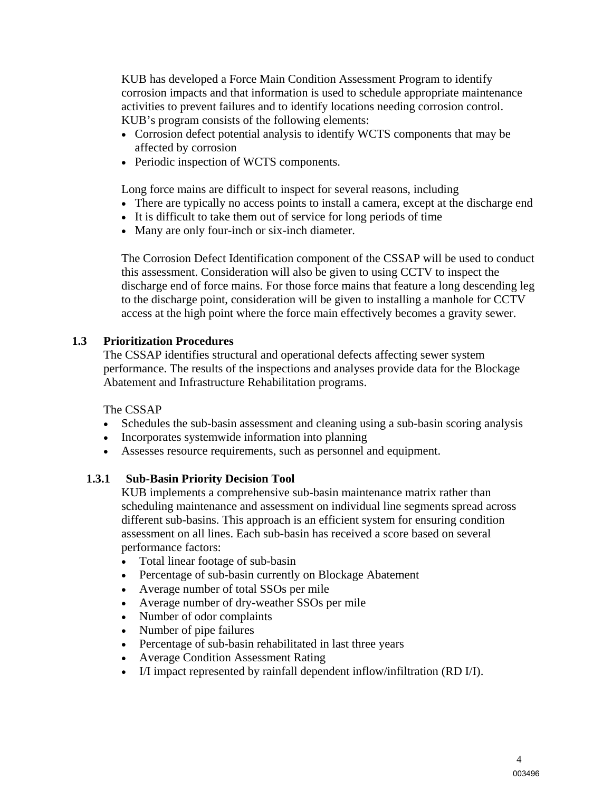KUB has developed a Force Main Condition Assessment Program to identify corrosion impacts and that information is used to schedule appropriate maintenance activities to prevent failures and to identify locations needing corrosion control. KUB's program consists of the following elements:

- Corrosion defect potential analysis to identify WCTS components that may be affected by corrosion
- Periodic inspection of WCTS components.

Long force mains are difficult to inspect for several reasons, including

- There are typically no access points to install a camera, except at the discharge end
- It is difficult to take them out of service for long periods of time
- Many are only four-inch or six-inch diameter.

The Corrosion Defect Identification component of the CSSAP will be used to conduct this assessment. Consideration will also be given to using CCTV to inspect the discharge end of force mains. For those force mains that feature a long descending leg to the discharge point, consideration will be given to installing a manhole for CCTV access at the high point where the force main effectively becomes a gravity sewer.

# **1.3 Prioritization Procedures**

The CSSAP identifies structural and operational defects affecting sewer system performance. The results of the inspections and analyses provide data for the Blockage Abatement and Infrastructure Rehabilitation programs.

The CSSAP

- Schedules the sub-basin assessment and cleaning using a sub-basin scoring analysis
- Incorporates systemwide information into planning
- Assesses resource requirements, such as personnel and equipment.

# **1.3.1 Sub-Basin Priority Decision Tool**

KUB implements a comprehensive sub-basin maintenance matrix rather than scheduling maintenance and assessment on individual line segments spread across different sub-basins. This approach is an efficient system for ensuring condition assessment on all lines. Each sub-basin has received a score based on several performance factors:

- Total linear footage of sub-basin
- Percentage of sub-basin currently on Blockage Abatement
- Average number of total SSOs per mile
- Average number of dry-weather SSOs per mile
- Number of odor complaints
- Number of pipe failures
- Percentage of sub-basin rehabilitated in last three years
- Average Condition Assessment Rating
- I/I impact represented by rainfall dependent inflow/infiltration (RD I/I).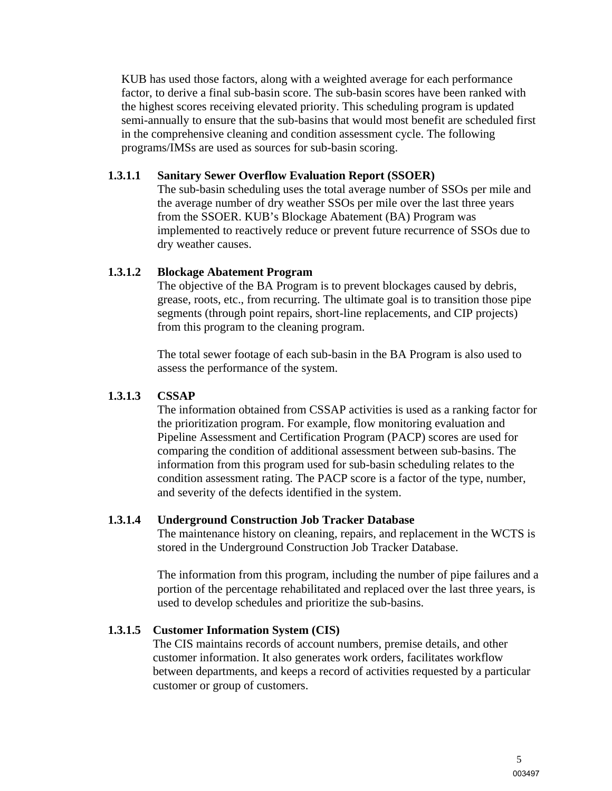KUB has used those factors, along with a weighted average for each performance factor, to derive a final sub-basin score. The sub-basin scores have been ranked with the highest scores receiving elevated priority. This scheduling program is updated semi-annually to ensure that the sub-basins that would most benefit are scheduled first in the comprehensive cleaning and condition assessment cycle. The following programs/IMSs are used as sources for sub-basin scoring.

#### **1.3.1.1 Sanitary Sewer Overflow Evaluation Report (SSOER)**

The sub-basin scheduling uses the total average number of SSOs per mile and the average number of dry weather SSOs per mile over the last three years from the SSOER. KUB's Blockage Abatement (BA) Program was implemented to reactively reduce or prevent future recurrence of SSOs due to dry weather causes.

# **1.3.1.2 Blockage Abatement Program**

The objective of the BA Program is to prevent blockages caused by debris, grease, roots, etc., from recurring. The ultimate goal is to transition those pipe segments (through point repairs, short-line replacements, and CIP projects) from this program to the cleaning program.

The total sewer footage of each sub-basin in the BA Program is also used to assess the performance of the system.

# **1.3.1.3 CSSAP**

The information obtained from CSSAP activities is used as a ranking factor for the prioritization program. For example, flow monitoring evaluation and Pipeline Assessment and Certification Program (PACP) scores are used for comparing the condition of additional assessment between sub-basins. The information from this program used for sub-basin scheduling relates to the condition assessment rating. The PACP score is a factor of the type, number, and severity of the defects identified in the system.

# **1.3.1.4 Underground Construction Job Tracker Database**

The maintenance history on cleaning, repairs, and replacement in the WCTS is stored in the Underground Construction Job Tracker Database.

The information from this program, including the number of pipe failures and a portion of the percentage rehabilitated and replaced over the last three years, is used to develop schedules and prioritize the sub-basins.

# **1.3.1.5 Customer Information System (CIS)**

The CIS maintains records of account numbers, premise details, and other customer information. It also generates work orders, facilitates workflow between departments, and keeps a record of activities requested by a particular customer or group of customers.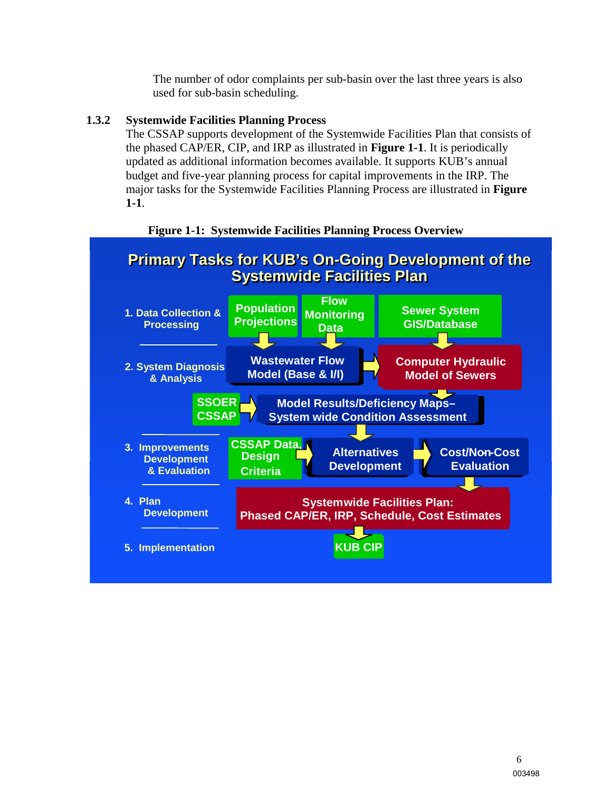The number of odor complaints per sub-basin over the last three years is also used for sub-basin scheduling.

# **1.3.2 Systemwide Facilities Planning Process**

The CSSAP supports development of the Systemwide Facilities Plan that consists of the phased CAP/ER, CIP, and IRP as illustrated in **Figure 1-1**. It is periodically updated as additional information becomes available. It supports KUB's annual budget and five-year planning process for capital improvements in the IRP. The major tasks for the Systemwide Facilities Planning Process are illustrated in **Figure 1-1**.



#### **Figure 1-1: Systemwide Facilities Planning Process Overview**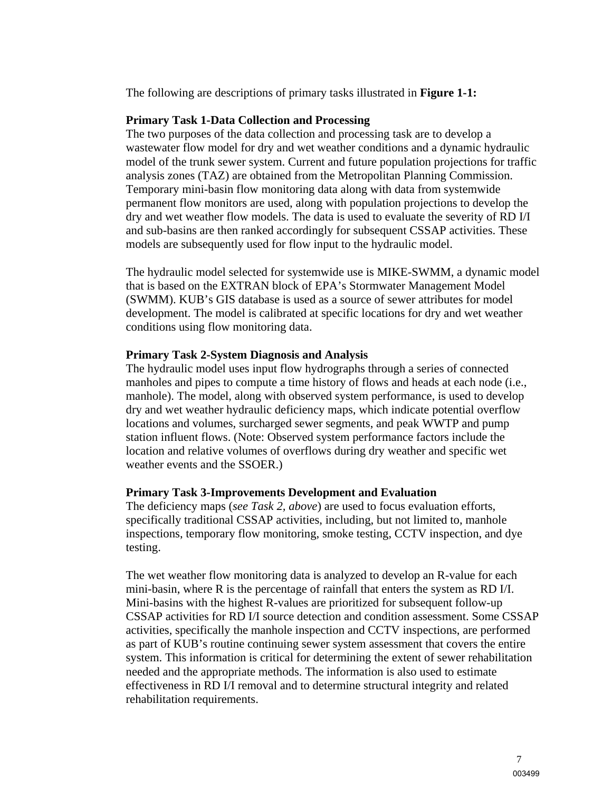The following are descriptions of primary tasks illustrated in **Figure 1-1:**

#### **Primary Task 1-Data Collection and Processing**

The two purposes of the data collection and processing task are to develop a wastewater flow model for dry and wet weather conditions and a dynamic hydraulic model of the trunk sewer system. Current and future population projections for traffic analysis zones (TAZ) are obtained from the Metropolitan Planning Commission. Temporary mini-basin flow monitoring data along with data from systemwide permanent flow monitors are used, along with population projections to develop the dry and wet weather flow models. The data is used to evaluate the severity of RD I/I and sub-basins are then ranked accordingly for subsequent CSSAP activities. These models are subsequently used for flow input to the hydraulic model.

The hydraulic model selected for systemwide use is MIKE-SWMM, a dynamic model that is based on the EXTRAN block of EPA's Stormwater Management Model (SWMM). KUB's GIS database is used as a source of sewer attributes for model development. The model is calibrated at specific locations for dry and wet weather conditions using flow monitoring data.

#### **Primary Task 2-System Diagnosis and Analysis**

The hydraulic model uses input flow hydrographs through a series of connected manholes and pipes to compute a time history of flows and heads at each node (i.e., manhole). The model, along with observed system performance, is used to develop dry and wet weather hydraulic deficiency maps, which indicate potential overflow locations and volumes, surcharged sewer segments, and peak WWTP and pump station influent flows. (Note: Observed system performance factors include the location and relative volumes of overflows during dry weather and specific wet weather events and the SSOER.)

#### **Primary Task 3-Improvements Development and Evaluation**

The deficiency maps (*see Task 2, above*) are used to focus evaluation efforts, specifically traditional CSSAP activities, including, but not limited to, manhole inspections, temporary flow monitoring, smoke testing, CCTV inspection, and dye testing.

The wet weather flow monitoring data is analyzed to develop an R-value for each mini-basin, where R is the percentage of rainfall that enters the system as RD I/I. Mini-basins with the highest R-values are prioritized for subsequent follow-up CSSAP activities for RD I/I source detection and condition assessment. Some CSSAP activities, specifically the manhole inspection and CCTV inspections, are performed as part of KUB's routine continuing sewer system assessment that covers the entire system. This information is critical for determining the extent of sewer rehabilitation needed and the appropriate methods. The information is also used to estimate effectiveness in RD I/I removal and to determine structural integrity and related rehabilitation requirements.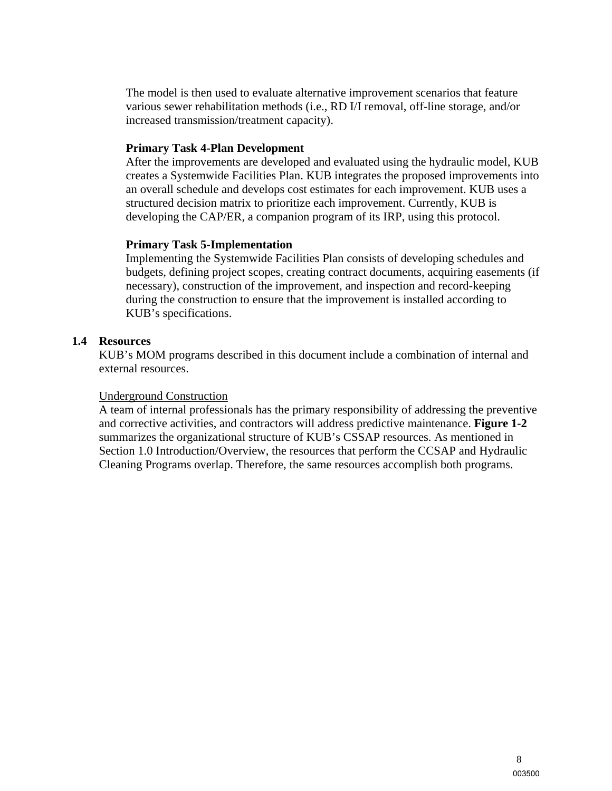The model is then used to evaluate alternative improvement scenarios that feature various sewer rehabilitation methods (i.e., RD I/I removal, off-line storage, and/or increased transmission/treatment capacity).

#### **Primary Task 4-Plan Development**

After the improvements are developed and evaluated using the hydraulic model, KUB creates a Systemwide Facilities Plan. KUB integrates the proposed improvements into an overall schedule and develops cost estimates for each improvement. KUB uses a structured decision matrix to prioritize each improvement. Currently, KUB is developing the CAP/ER, a companion program of its IRP, using this protocol.

#### **Primary Task 5-Implementation**

Implementing the Systemwide Facilities Plan consists of developing schedules and budgets, defining project scopes, creating contract documents, acquiring easements (if necessary), construction of the improvement, and inspection and record-keeping during the construction to ensure that the improvement is installed according to KUB's specifications.

#### **1.4 Resources**

KUB's MOM programs described in this document include a combination of internal and external resources.

#### Underground Construction

A team of internal professionals has the primary responsibility of addressing the preventive and corrective activities, and contractors will address predictive maintenance. **Figure 1-2** summarizes the organizational structure of KUB's CSSAP resources. As mentioned in Section 1.0 Introduction/Overview, the resources that perform the CCSAP and Hydraulic Cleaning Programs overlap. Therefore, the same resources accomplish both programs.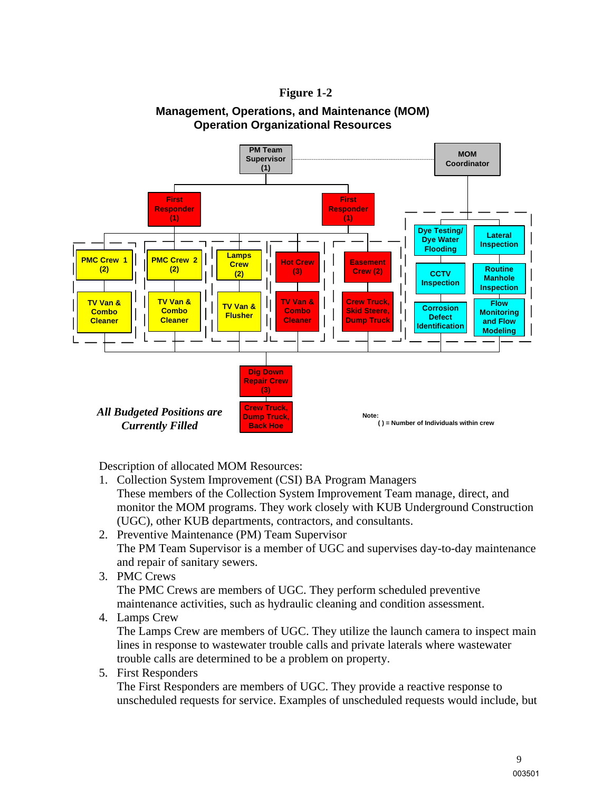**Figure 1-2** 



# **Management, Operations, and Maintenance (MOM) Operation Organizational Resources**

Description of allocated MOM Resources:

- 1. Collection System Improvement (CSI) BA Program Managers These members of the Collection System Improvement Team manage, direct, and monitor the MOM programs. They work closely with KUB Underground Construction (UGC), other KUB departments, contractors, and consultants.
- 2. Preventive Maintenance (PM) Team Supervisor The PM Team Supervisor is a member of UGC and supervises day-to-day maintenance and repair of sanitary sewers.
- 3. PMC Crews

The PMC Crews are members of UGC. They perform scheduled preventive maintenance activities, such as hydraulic cleaning and condition assessment.

4. Lamps Crew

The Lamps Crew are members of UGC. They utilize the launch camera to inspect main lines in response to wastewater trouble calls and private laterals where wastewater trouble calls are determined to be a problem on property.

5. First Responders

The First Responders are members of UGC. They provide a reactive response to unscheduled requests for service. Examples of unscheduled requests would include, but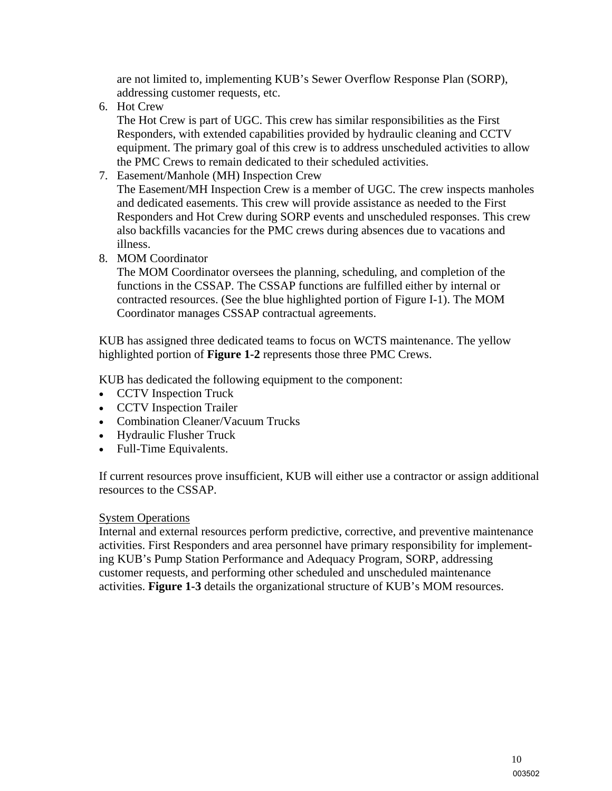are not limited to, implementing KUB's Sewer Overflow Response Plan (SORP), addressing customer requests, etc.

6. Hot Crew

The Hot Crew is part of UGC. This crew has similar responsibilities as the First Responders, with extended capabilities provided by hydraulic cleaning and CCTV equipment. The primary goal of this crew is to address unscheduled activities to allow the PMC Crews to remain dedicated to their scheduled activities.

- 7. Easement/Manhole (MH) Inspection Crew The Easement/MH Inspection Crew is a member of UGC. The crew inspects manholes and dedicated easements. This crew will provide assistance as needed to the First Responders and Hot Crew during SORP events and unscheduled responses. This crew also backfills vacancies for the PMC crews during absences due to vacations and illness.
- 8. MOM Coordinator

The MOM Coordinator oversees the planning, scheduling, and completion of the functions in the CSSAP. The CSSAP functions are fulfilled either by internal or contracted resources. (See the blue highlighted portion of Figure I-1). The MOM Coordinator manages CSSAP contractual agreements.

KUB has assigned three dedicated teams to focus on WCTS maintenance. The yellow highlighted portion of **Figure 1-2** represents those three PMC Crews.

KUB has dedicated the following equipment to the component:

- CCTV Inspection Truck
- CCTV Inspection Trailer
- Combination Cleaner/Vacuum Trucks
- Hydraulic Flusher Truck
- Full-Time Equivalents.

If current resources prove insufficient, KUB will either use a contractor or assign additional resources to the CSSAP.

# System Operations

Internal and external resources perform predictive, corrective, and preventive maintenance activities. First Responders and area personnel have primary responsibility for implementing KUB's Pump Station Performance and Adequacy Program, SORP, addressing customer requests, and performing other scheduled and unscheduled maintenance activities. **Figure 1-3** details the organizational structure of KUB's MOM resources.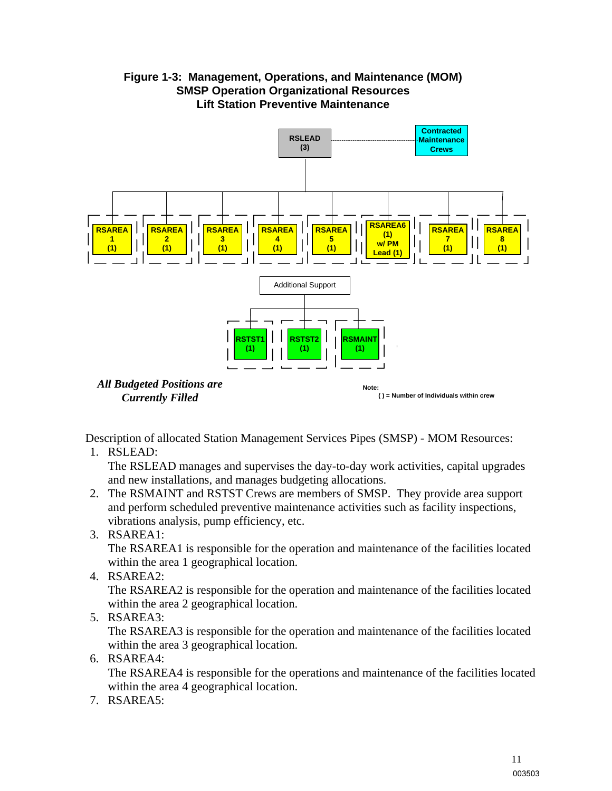

**Figure 1-3: Management, Operations, and Maintenance (MOM) SMSP Operation Organizational Resources Lift Station Preventive Maintenance**

Description of allocated Station Management Services Pipes (SMSP) - MOM Resources:

1. RSLEAD:

The RSLEAD manages and supervises the day-to-day work activities, capital upgrades and new installations, and manages budgeting allocations.

- 2. The RSMAINT and RSTST Crews are members of SMSP. They provide area support and perform scheduled preventive maintenance activities such as facility inspections, vibrations analysis, pump efficiency, etc.
- 3. RSAREA1:

The RSAREA1 is responsible for the operation and maintenance of the facilities located within the area 1 geographical location.

4. RSAREA2:

The RSAREA2 is responsible for the operation and maintenance of the facilities located within the area 2 geographical location.

5. RSAREA3:

The RSAREA3 is responsible for the operation and maintenance of the facilities located within the area 3 geographical location.

6. RSAREA4:

The RSAREA4 is responsible for the operations and maintenance of the facilities located within the area 4 geographical location.

7. RSAREA5: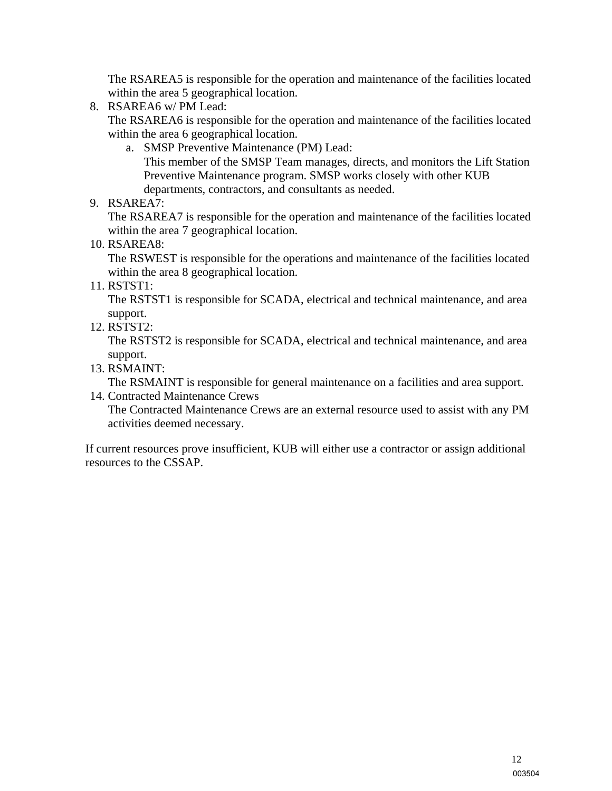The RSAREA5 is responsible for the operation and maintenance of the facilities located within the area 5 geographical location.

8. RSAREA6 w/ PM Lead:

The RSAREA6 is responsible for the operation and maintenance of the facilities located within the area 6 geographical location.

- a. SMSP Preventive Maintenance (PM) Lead: This member of the SMSP Team manages, directs, and monitors the Lift Station Preventive Maintenance program. SMSP works closely with other KUB departments, contractors, and consultants as needed.
- 9. RSAREA7:

The RSAREA7 is responsible for the operation and maintenance of the facilities located within the area 7 geographical location.

10. RSAREA8:

The RSWEST is responsible for the operations and maintenance of the facilities located within the area 8 geographical location.

11. RSTST1:

The RSTST1 is responsible for SCADA, electrical and technical maintenance, and area support.

12. RSTST2:

The RSTST2 is responsible for SCADA, electrical and technical maintenance, and area support.

13. RSMAINT:

The RSMAINT is responsible for general maintenance on a facilities and area support. 14. Contracted Maintenance Crews

The Contracted Maintenance Crews are an external resource used to assist with any PM activities deemed necessary.

If current resources prove insufficient, KUB will either use a contractor or assign additional resources to the CSSAP.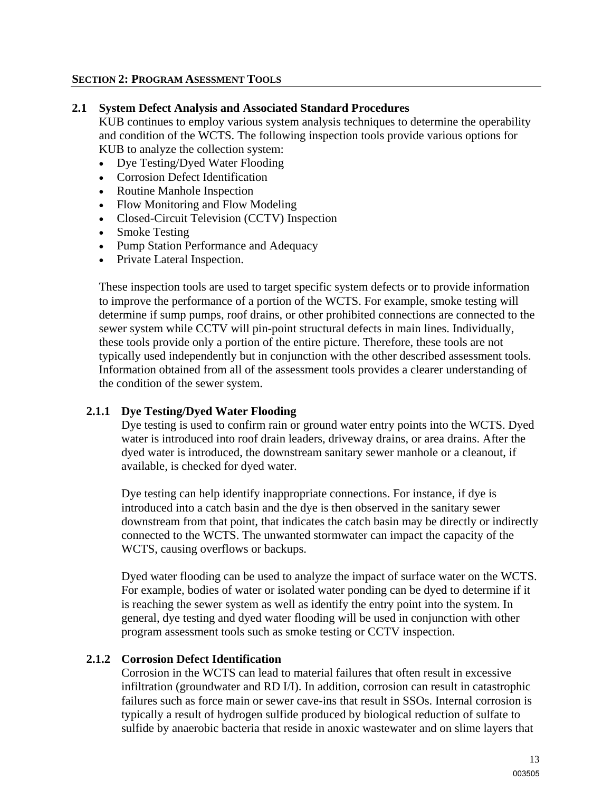#### **SECTION 2: PROGRAM ASESSMENT TOOLS**

#### **2.1 System Defect Analysis and Associated Standard Procedures**

KUB continues to employ various system analysis techniques to determine the operability and condition of the WCTS. The following inspection tools provide various options for KUB to analyze the collection system:

- Dye Testing/Dyed Water Flooding
- Corrosion Defect Identification
- Routine Manhole Inspection
- Flow Monitoring and Flow Modeling
- Closed-Circuit Television (CCTV) Inspection
- Smoke Testing
- Pump Station Performance and Adequacy
- Private Lateral Inspection.

These inspection tools are used to target specific system defects or to provide information to improve the performance of a portion of the WCTS. For example, smoke testing will determine if sump pumps, roof drains, or other prohibited connections are connected to the sewer system while CCTV will pin-point structural defects in main lines. Individually, these tools provide only a portion of the entire picture. Therefore, these tools are not typically used independently but in conjunction with the other described assessment tools. Information obtained from all of the assessment tools provides a clearer understanding of the condition of the sewer system.

# **2.1.1 Dye Testing/Dyed Water Flooding**

Dye testing is used to confirm rain or ground water entry points into the WCTS. Dyed water is introduced into roof drain leaders, driveway drains, or area drains. After the dyed water is introduced, the downstream sanitary sewer manhole or a cleanout, if available, is checked for dyed water.

Dye testing can help identify inappropriate connections. For instance, if dye is introduced into a catch basin and the dye is then observed in the sanitary sewer downstream from that point, that indicates the catch basin may be directly or indirectly connected to the WCTS. The unwanted stormwater can impact the capacity of the WCTS, causing overflows or backups.

Dyed water flooding can be used to analyze the impact of surface water on the WCTS. For example, bodies of water or isolated water ponding can be dyed to determine if it is reaching the sewer system as well as identify the entry point into the system. In general, dye testing and dyed water flooding will be used in conjunction with other program assessment tools such as smoke testing or CCTV inspection.

# **2.1.2 Corrosion Defect Identification**

Corrosion in the WCTS can lead to material failures that often result in excessive infiltration (groundwater and RD I/I). In addition, corrosion can result in catastrophic failures such as force main or sewer cave-ins that result in SSOs. Internal corrosion is typically a result of hydrogen sulfide produced by biological reduction of sulfate to sulfide by anaerobic bacteria that reside in anoxic wastewater and on slime layers that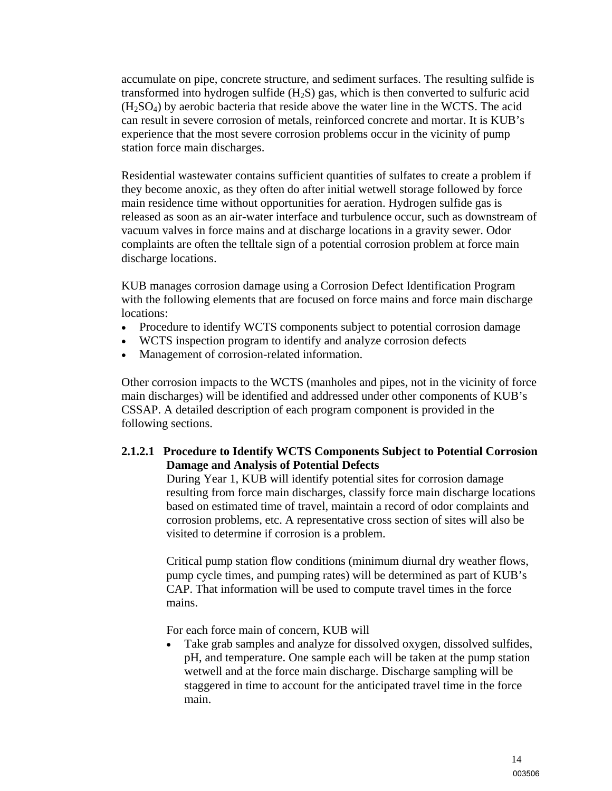accumulate on pipe, concrete structure, and sediment surfaces. The resulting sulfide is transformed into hydrogen sulfide  $(H_2S)$  gas, which is then converted to sulfuric acid  $(H<sub>2</sub>SO<sub>4</sub>)$  by aerobic bacteria that reside above the water line in the WCTS. The acid can result in severe corrosion of metals, reinforced concrete and mortar. It is KUB's experience that the most severe corrosion problems occur in the vicinity of pump station force main discharges.

Residential wastewater contains sufficient quantities of sulfates to create a problem if they become anoxic, as they often do after initial wetwell storage followed by force main residence time without opportunities for aeration. Hydrogen sulfide gas is released as soon as an air-water interface and turbulence occur, such as downstream of vacuum valves in force mains and at discharge locations in a gravity sewer. Odor complaints are often the telltale sign of a potential corrosion problem at force main discharge locations.

KUB manages corrosion damage using a Corrosion Defect Identification Program with the following elements that are focused on force mains and force main discharge locations:

- Procedure to identify WCTS components subject to potential corrosion damage
- WCTS inspection program to identify and analyze corrosion defects
- Management of corrosion-related information.

Other corrosion impacts to the WCTS (manholes and pipes, not in the vicinity of force main discharges) will be identified and addressed under other components of KUB's CSSAP. A detailed description of each program component is provided in the following sections.

# **2.1.2.1 Procedure to Identify WCTS Components Subject to Potential Corrosion Damage and Analysis of Potential Defects**

During Year 1, KUB will identify potential sites for corrosion damage resulting from force main discharges, classify force main discharge locations based on estimated time of travel, maintain a record of odor complaints and corrosion problems, etc. A representative cross section of sites will also be visited to determine if corrosion is a problem.

Critical pump station flow conditions (minimum diurnal dry weather flows, pump cycle times, and pumping rates) will be determined as part of KUB's CAP. That information will be used to compute travel times in the force mains.

For each force main of concern, KUB will

 Take grab samples and analyze for dissolved oxygen, dissolved sulfides, pH, and temperature. One sample each will be taken at the pump station wetwell and at the force main discharge. Discharge sampling will be staggered in time to account for the anticipated travel time in the force main.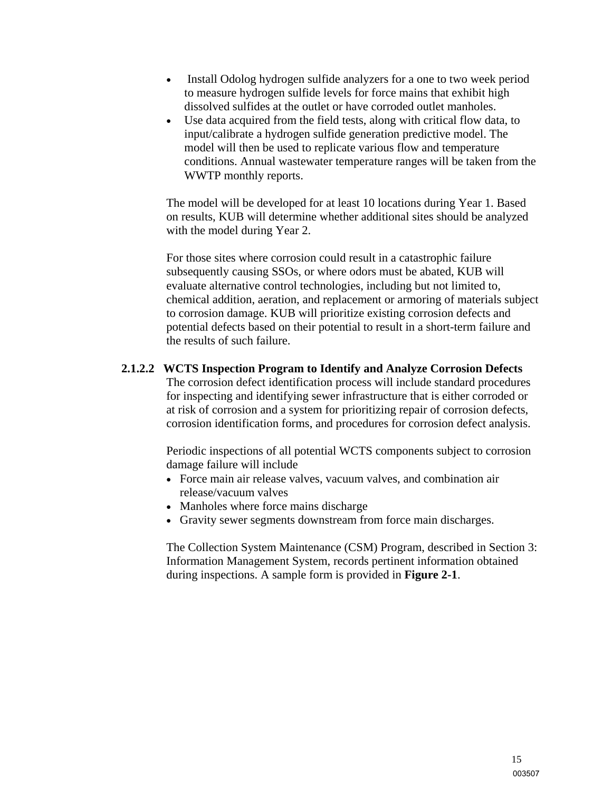- Install Odolog hydrogen sulfide analyzers for a one to two week period to measure hydrogen sulfide levels for force mains that exhibit high dissolved sulfides at the outlet or have corroded outlet manholes.
- Use data acquired from the field tests, along with critical flow data, to input/calibrate a hydrogen sulfide generation predictive model. The model will then be used to replicate various flow and temperature conditions. Annual wastewater temperature ranges will be taken from the WWTP monthly reports.

The model will be developed for at least 10 locations during Year 1. Based on results, KUB will determine whether additional sites should be analyzed with the model during Year 2.

For those sites where corrosion could result in a catastrophic failure subsequently causing SSOs, or where odors must be abated, KUB will evaluate alternative control technologies, including but not limited to, chemical addition, aeration, and replacement or armoring of materials subject to corrosion damage. KUB will prioritize existing corrosion defects and potential defects based on their potential to result in a short-term failure and the results of such failure.

#### **2.1.2.2 WCTS Inspection Program to Identify and Analyze Corrosion Defects**

The corrosion defect identification process will include standard procedures for inspecting and identifying sewer infrastructure that is either corroded or at risk of corrosion and a system for prioritizing repair of corrosion defects, corrosion identification forms, and procedures for corrosion defect analysis.

Periodic inspections of all potential WCTS components subject to corrosion damage failure will include

- Force main air release valves, vacuum valves, and combination air release/vacuum valves
- Manholes where force mains discharge
- Gravity sewer segments downstream from force main discharges.

The Collection System Maintenance (CSM) Program, described in Section 3: Information Management System, records pertinent information obtained during inspections. A sample form is provided in **Figure 2-1**.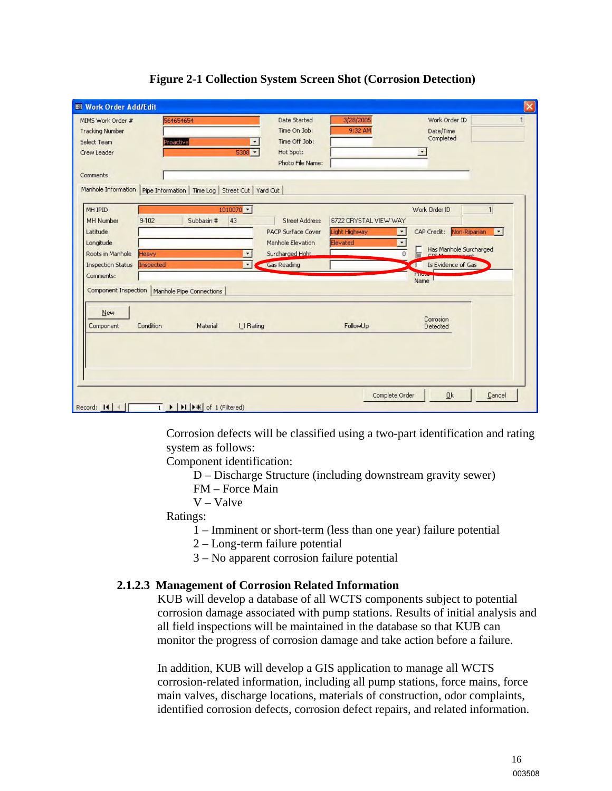| MIMS Work Order #        | 564654654                                                                 | Date Started                            | 3/28/2005             | Work Order ID                                   |                     |
|--------------------------|---------------------------------------------------------------------------|-----------------------------------------|-----------------------|-------------------------------------------------|---------------------|
| <b>Tracking Number</b>   |                                                                           | Time On Job:                            | 9:32 AM               | Date/Time                                       |                     |
| Select Team              | Proactive                                                                 | Time Off Job:                           |                       | Completed                                       |                     |
| Crew Leader              |                                                                           | Hot Spot:<br>5308 $+$                   |                       | $\blacktriangledown$                            |                     |
|                          |                                                                           | Photo File Name:                        |                       |                                                 |                     |
| Comments                 |                                                                           |                                         |                       |                                                 |                     |
|                          | Manhole Information   Pipe Information   Time Log   Street Cut   Yard Cut |                                         |                       |                                                 |                     |
|                          |                                                                           |                                         |                       |                                                 |                     |
| MH IPID                  |                                                                           | $1010070$ $\star$                       |                       | Work Order ID                                   |                     |
| <b>MH Number</b>         | 9-102<br>Subbasin #                                                       | 43<br><b>Street Address</b>             | 6722 CRYSTAL VIEW WAY |                                                 |                     |
| Latitude                 |                                                                           | <b>PACP Surface Cover</b>               | Light Highway         | CAP Credit: Non-Riparian<br>$\vert \cdot \vert$ | $\vert \cdot \vert$ |
| Longitude                |                                                                           | Manhole Elevation                       | Elevated              | $\blacktriangledown$<br>Has Manhole Surcharged  |                     |
| Roots in Manhole         | Heavy                                                                     | Surcharged Hoht<br>$\blacktriangledown$ |                       | $\overline{0}$<br>屦                             |                     |
| <b>Inspection Status</b> | Inspected                                                                 | Gas Reading<br>$\overline{\phantom{a}}$ |                       | Is Evidence of Gas<br>Priore                    |                     |
| Comments:                |                                                                           |                                         |                       | Name                                            |                     |
|                          | Component Inspection   Manhole Pipe Connections                           |                                         |                       |                                                 |                     |
|                          |                                                                           |                                         |                       |                                                 |                     |
| New                      |                                                                           |                                         |                       | Corrosion                                       |                     |
|                          | <b>Condition</b><br>Material                                              | I I Rating                              | FollowUp              | Detected                                        |                     |

# **Figure 2-1 Collection System Screen Shot (Corrosion Detection)**

Corrosion defects will be classified using a two-part identification and rating system as follows:

Component identification:

D – Discharge Structure (including downstream gravity sewer)

FM – Force Main

V – Valve

Ratings:

- 1 Imminent or short-term (less than one year) failure potential
- 2 Long-term failure potential
- 3 No apparent corrosion failure potential

# **2.1.2.3 Management of Corrosion Related Information**

KUB will develop a database of all WCTS components subject to potential corrosion damage associated with pump stations. Results of initial analysis and all field inspections will be maintained in the database so that KUB can monitor the progress of corrosion damage and take action before a failure.

In addition, KUB will develop a GIS application to manage all WCTS corrosion-related information, including all pump stations, force mains, force main valves, discharge locations, materials of construction, odor complaints, identified corrosion defects, corrosion defect repairs, and related information.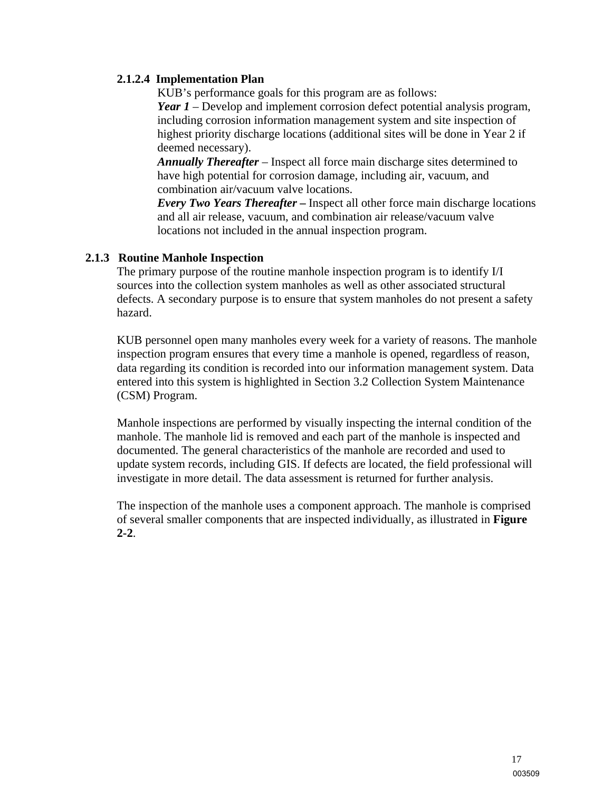# **2.1.2.4 Implementation Plan**

KUB's performance goals for this program are as follows:

*Year 1* – Develop and implement corrosion defect potential analysis program, including corrosion information management system and site inspection of highest priority discharge locations (additional sites will be done in Year 2 if deemed necessary).

*Annually Thereafter* – Inspect all force main discharge sites determined to have high potential for corrosion damage, including air, vacuum, and combination air/vacuum valve locations.

*Every Two Years Thereafter –* Inspect all other force main discharge locations and all air release, vacuum, and combination air release/vacuum valve locations not included in the annual inspection program.

# **2.1.3 Routine Manhole Inspection**

The primary purpose of the routine manhole inspection program is to identify I/I sources into the collection system manholes as well as other associated structural defects. A secondary purpose is to ensure that system manholes do not present a safety hazard.

KUB personnel open many manholes every week for a variety of reasons. The manhole inspection program ensures that every time a manhole is opened, regardless of reason, data regarding its condition is recorded into our information management system. Data entered into this system is highlighted in Section 3.2 Collection System Maintenance (CSM) Program.

Manhole inspections are performed by visually inspecting the internal condition of the manhole. The manhole lid is removed and each part of the manhole is inspected and documented. The general characteristics of the manhole are recorded and used to update system records, including GIS. If defects are located, the field professional will investigate in more detail. The data assessment is returned for further analysis.

The inspection of the manhole uses a component approach. The manhole is comprised of several smaller components that are inspected individually, as illustrated in **Figure 2-2**.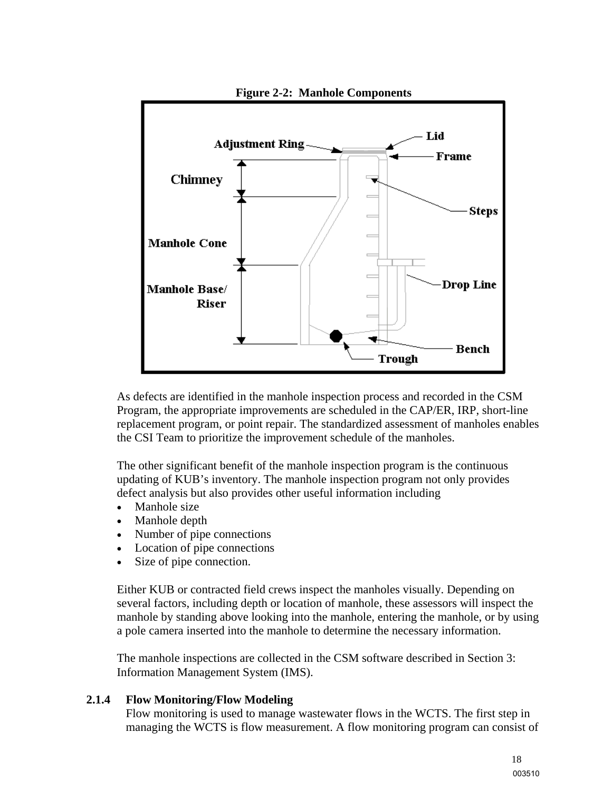

As defects are identified in the manhole inspection process and recorded in the CSM Program, the appropriate improvements are scheduled in the CAP/ER, IRP, short-line replacement program, or point repair. The standardized assessment of manholes enables the CSI Team to prioritize the improvement schedule of the manholes.

The other significant benefit of the manhole inspection program is the continuous updating of KUB's inventory. The manhole inspection program not only provides defect analysis but also provides other useful information including

- Manhole size
- Manhole depth
- Number of pipe connections
- Location of pipe connections
- Size of pipe connection.

Either KUB or contracted field crews inspect the manholes visually. Depending on several factors, including depth or location of manhole, these assessors will inspect the manhole by standing above looking into the manhole, entering the manhole, or by using a pole camera inserted into the manhole to determine the necessary information.

The manhole inspections are collected in the CSM software described in Section 3: Information Management System (IMS).

# **2.1.4 Flow Monitoring/Flow Modeling**

Flow monitoring is used to manage wastewater flows in the WCTS. The first step in managing the WCTS is flow measurement. A flow monitoring program can consist of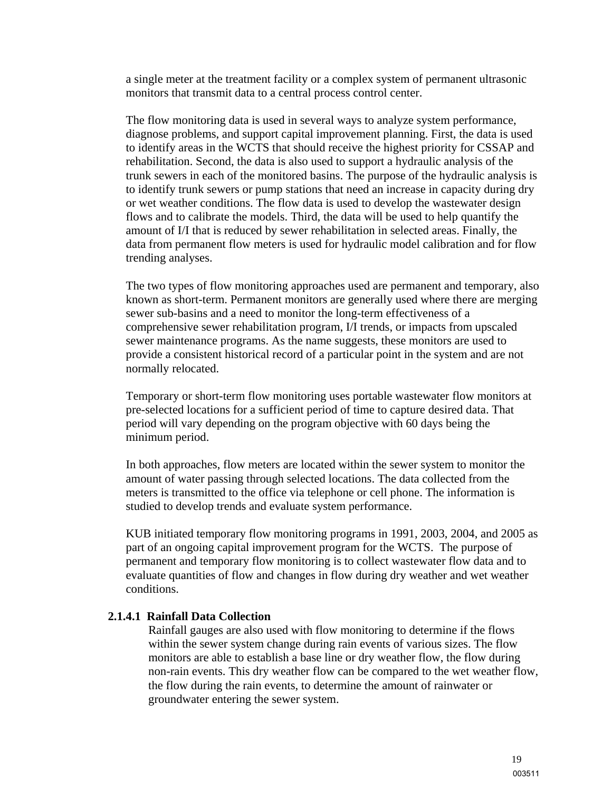a single meter at the treatment facility or a complex system of permanent ultrasonic monitors that transmit data to a central process control center.

The flow monitoring data is used in several ways to analyze system performance, diagnose problems, and support capital improvement planning. First, the data is used to identify areas in the WCTS that should receive the highest priority for CSSAP and rehabilitation. Second, the data is also used to support a hydraulic analysis of the trunk sewers in each of the monitored basins. The purpose of the hydraulic analysis is to identify trunk sewers or pump stations that need an increase in capacity during dry or wet weather conditions. The flow data is used to develop the wastewater design flows and to calibrate the models. Third, the data will be used to help quantify the amount of I/I that is reduced by sewer rehabilitation in selected areas. Finally, the data from permanent flow meters is used for hydraulic model calibration and for flow trending analyses.

The two types of flow monitoring approaches used are permanent and temporary, also known as short-term. Permanent monitors are generally used where there are merging sewer sub-basins and a need to monitor the long-term effectiveness of a comprehensive sewer rehabilitation program, I/I trends, or impacts from upscaled sewer maintenance programs. As the name suggests, these monitors are used to provide a consistent historical record of a particular point in the system and are not normally relocated.

Temporary or short-term flow monitoring uses portable wastewater flow monitors at pre-selected locations for a sufficient period of time to capture desired data. That period will vary depending on the program objective with 60 days being the minimum period.

In both approaches, flow meters are located within the sewer system to monitor the amount of water passing through selected locations. The data collected from the meters is transmitted to the office via telephone or cell phone. The information is studied to develop trends and evaluate system performance.

KUB initiated temporary flow monitoring programs in 1991, 2003, 2004, and 2005 as part of an ongoing capital improvement program for the WCTS. The purpose of permanent and temporary flow monitoring is to collect wastewater flow data and to evaluate quantities of flow and changes in flow during dry weather and wet weather conditions.

#### **2.1.4.1 Rainfall Data Collection**

Rainfall gauges are also used with flow monitoring to determine if the flows within the sewer system change during rain events of various sizes. The flow monitors are able to establish a base line or dry weather flow, the flow during non-rain events. This dry weather flow can be compared to the wet weather flow, the flow during the rain events, to determine the amount of rainwater or groundwater entering the sewer system.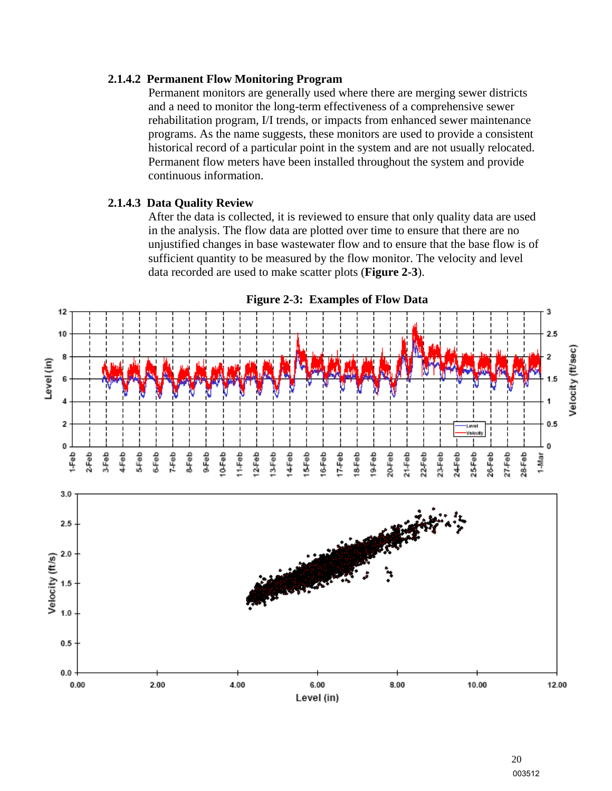#### **2.1.4.2 Permanent Flow Monitoring Program**

Permanent monitors are generally used where there are merging sewer districts and a need to monitor the long-term effectiveness of a comprehensive sewer rehabilitation program, I/I trends, or impacts from enhanced sewer maintenance programs. As the name suggests, these monitors are used to provide a consistent historical record of a particular point in the system and are not usually relocated. Permanent flow meters have been installed throughout the system and provide continuous information.

#### **2.1.4.3 Data Quality Review**

After the data is collected, it is reviewed to ensure that only quality data are used in the analysis. The flow data are plotted over time to ensure that there are no unjustified changes in base wastewater flow and to ensure that the base flow is of sufficient quantity to be measured by the flow monitor. The velocity and level data recorded are used to make scatter plots (**Figure 2-3**).



**Figure 2-3: Examples of Flow Data**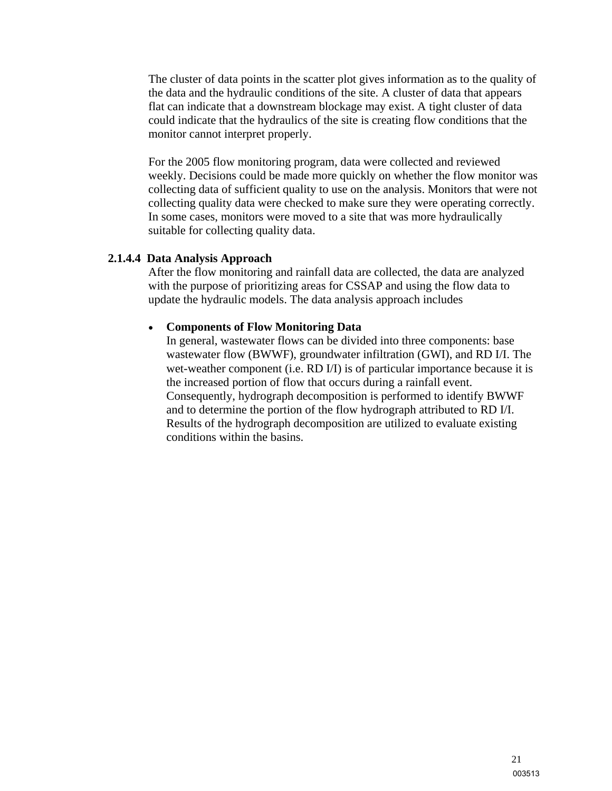The cluster of data points in the scatter plot gives information as to the quality of the data and the hydraulic conditions of the site. A cluster of data that appears flat can indicate that a downstream blockage may exist. A tight cluster of data could indicate that the hydraulics of the site is creating flow conditions that the monitor cannot interpret properly.

For the 2005 flow monitoring program, data were collected and reviewed weekly. Decisions could be made more quickly on whether the flow monitor was collecting data of sufficient quality to use on the analysis. Monitors that were not collecting quality data were checked to make sure they were operating correctly. In some cases, monitors were moved to a site that was more hydraulically suitable for collecting quality data.

#### **2.1.4.4 Data Analysis Approach**

After the flow monitoring and rainfall data are collected, the data are analyzed with the purpose of prioritizing areas for CSSAP and using the flow data to update the hydraulic models. The data analysis approach includes

#### **Components of Flow Monitoring Data**

In general, wastewater flows can be divided into three components: base wastewater flow (BWWF), groundwater infiltration (GWI), and RD I/I. The wet-weather component (i.e. RD I/I) is of particular importance because it is the increased portion of flow that occurs during a rainfall event. Consequently, hydrograph decomposition is performed to identify BWWF and to determine the portion of the flow hydrograph attributed to RD I/I. Results of the hydrograph decomposition are utilized to evaluate existing conditions within the basins.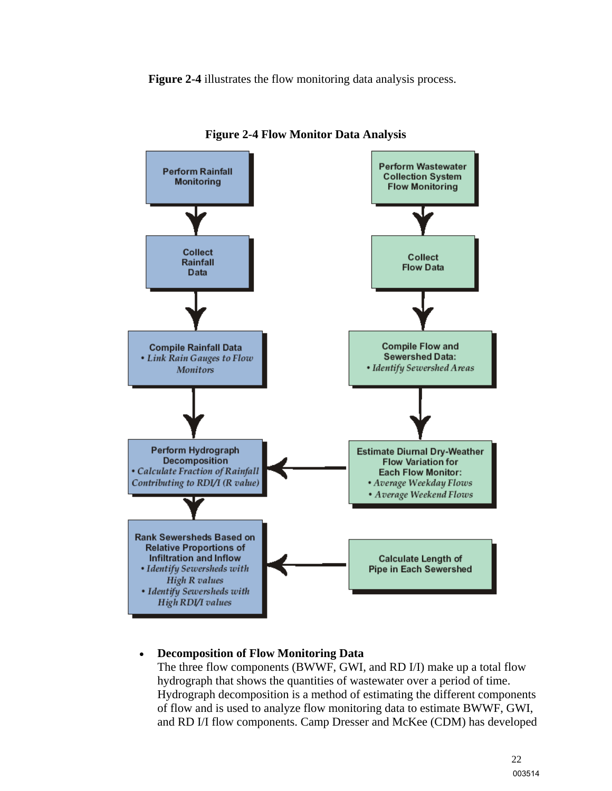**Figure 2-4** illustrates the flow monitoring data analysis process.



**Figure 2-4 Flow Monitor Data Analysis** 

#### **Decomposition of Flow Monitoring Data**

The three flow components (BWWF, GWI, and RD I/I) make up a total flow hydrograph that shows the quantities of wastewater over a period of time. Hydrograph decomposition is a method of estimating the different components of flow and is used to analyze flow monitoring data to estimate BWWF, GWI, and RD I/I flow components. Camp Dresser and McKee (CDM) has developed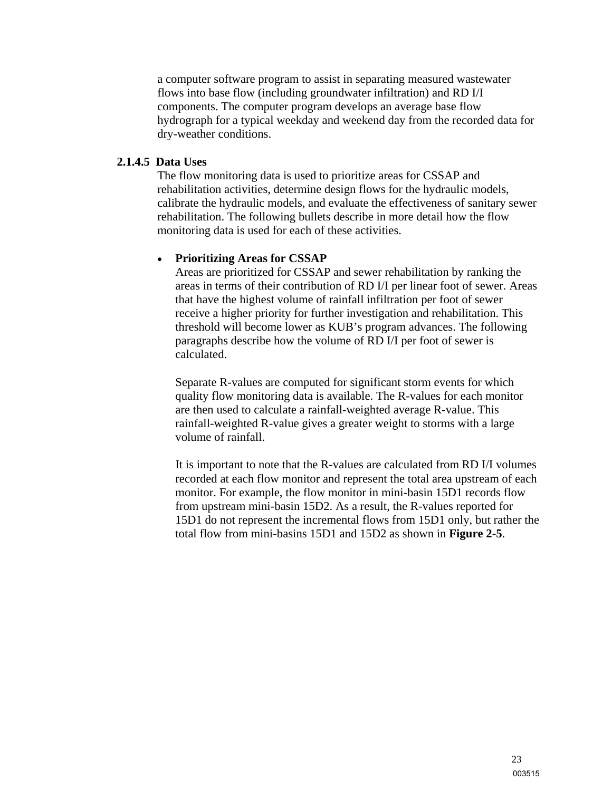a computer software program to assist in separating measured wastewater flows into base flow (including groundwater infiltration) and RD I/I components. The computer program develops an average base flow hydrograph for a typical weekday and weekend day from the recorded data for dry-weather conditions.

#### **2.1.4.5 Data Uses**

The flow monitoring data is used to prioritize areas for CSSAP and rehabilitation activities, determine design flows for the hydraulic models, calibrate the hydraulic models, and evaluate the effectiveness of sanitary sewer rehabilitation. The following bullets describe in more detail how the flow monitoring data is used for each of these activities.

#### **Prioritizing Areas for CSSAP**

Areas are prioritized for CSSAP and sewer rehabilitation by ranking the areas in terms of their contribution of RD I/I per linear foot of sewer. Areas that have the highest volume of rainfall infiltration per foot of sewer receive a higher priority for further investigation and rehabilitation. This threshold will become lower as KUB's program advances. The following paragraphs describe how the volume of RD I/I per foot of sewer is calculated.

Separate R-values are computed for significant storm events for which quality flow monitoring data is available. The R-values for each monitor are then used to calculate a rainfall-weighted average R-value. This rainfall-weighted R-value gives a greater weight to storms with a large volume of rainfall.

It is important to note that the R-values are calculated from RD I/I volumes recorded at each flow monitor and represent the total area upstream of each monitor. For example, the flow monitor in mini-basin 15D1 records flow from upstream mini-basin 15D2. As a result, the R-values reported for 15D1 do not represent the incremental flows from 15D1 only, but rather the total flow from mini-basins 15D1 and 15D2 as shown in **Figure 2-5**.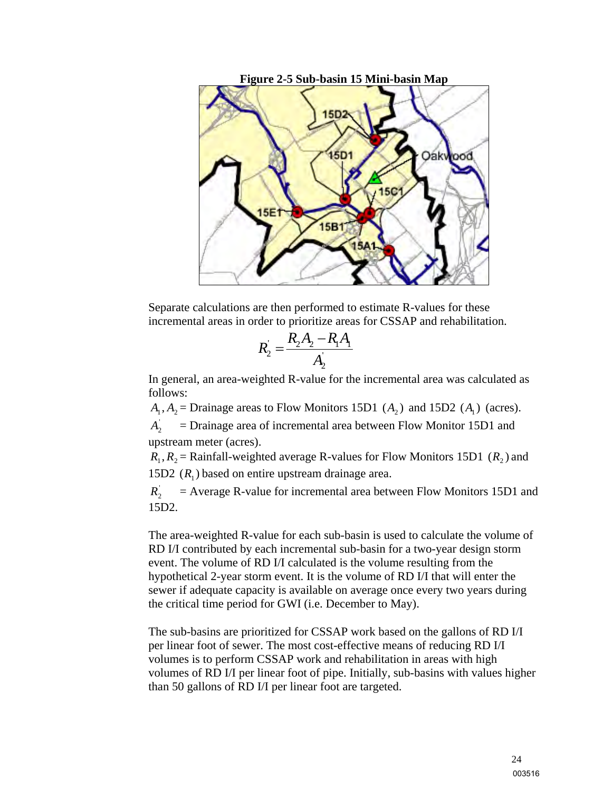

Separate calculations are then performed to estimate R-values for these incremental areas in order to prioritize areas for CSSAP and rehabilitation.

$$
R_2 = \frac{R_2 A_2 - R_1 A_1}{A_2}
$$

In general, an area-weighted R-value for the incremental area was calculated as follows:

 $A_1, A_2$  = Drainage areas to Flow Monitors 15D1  $(A_2)$  and 15D2  $(A_1)$  (acres).

 $A_{2}$ = Drainage area of incremental area between Flow Monitor 15D1 and upstream meter (acres).

 $R_1, R_2$  = Rainfall-weighted average R-values for Flow Monitors 15D1 ( $R_2$ ) and 15D2  $(R<sub>1</sub>)$  based on entire upstream drainage area.

 $R_2$ = Average R-value for incremental area between Flow Monitors 15D1 and 15D2.

The area-weighted R-value for each sub-basin is used to calculate the volume of RD I/I contributed by each incremental sub-basin for a two-year design storm event. The volume of RD I/I calculated is the volume resulting from the hypothetical 2-year storm event. It is the volume of RD I/I that will enter the sewer if adequate capacity is available on average once every two years during the critical time period for GWI (i.e. December to May).

The sub-basins are prioritized for CSSAP work based on the gallons of RD I/I per linear foot of sewer. The most cost-effective means of reducing RD I/I volumes is to perform CSSAP work and rehabilitation in areas with high volumes of RD I/I per linear foot of pipe. Initially, sub-basins with values higher than 50 gallons of RD I/I per linear foot are targeted.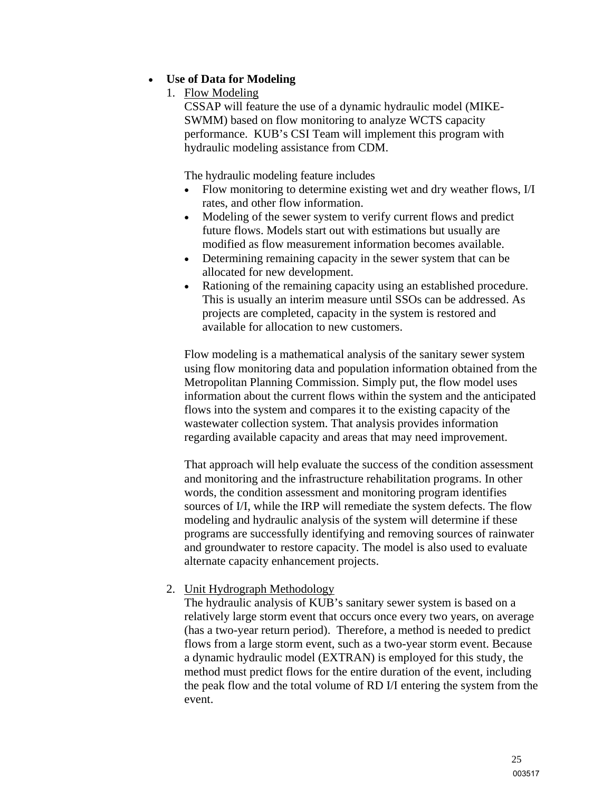# **Use of Data for Modeling**

1. Flow Modeling

CSSAP will feature the use of a dynamic hydraulic model (MIKE-SWMM) based on flow monitoring to analyze WCTS capacity performance. KUB's CSI Team will implement this program with hydraulic modeling assistance from CDM.

The hydraulic modeling feature includes

- Flow monitoring to determine existing wet and dry weather flows, I/I rates, and other flow information.
- Modeling of the sewer system to verify current flows and predict future flows. Models start out with estimations but usually are modified as flow measurement information becomes available.
- Determining remaining capacity in the sewer system that can be allocated for new development.
- Rationing of the remaining capacity using an established procedure. This is usually an interim measure until SSOs can be addressed. As projects are completed, capacity in the system is restored and available for allocation to new customers.

Flow modeling is a mathematical analysis of the sanitary sewer system using flow monitoring data and population information obtained from the Metropolitan Planning Commission. Simply put, the flow model uses information about the current flows within the system and the anticipated flows into the system and compares it to the existing capacity of the wastewater collection system. That analysis provides information regarding available capacity and areas that may need improvement.

That approach will help evaluate the success of the condition assessment and monitoring and the infrastructure rehabilitation programs. In other words, the condition assessment and monitoring program identifies sources of I/I, while the IRP will remediate the system defects. The flow modeling and hydraulic analysis of the system will determine if these programs are successfully identifying and removing sources of rainwater and groundwater to restore capacity. The model is also used to evaluate alternate capacity enhancement projects.

# 2. Unit Hydrograph Methodology

The hydraulic analysis of KUB's sanitary sewer system is based on a relatively large storm event that occurs once every two years, on average (has a two-year return period). Therefore, a method is needed to predict flows from a large storm event, such as a two-year storm event. Because a dynamic hydraulic model (EXTRAN) is employed for this study, the method must predict flows for the entire duration of the event, including the peak flow and the total volume of RD I/I entering the system from the event.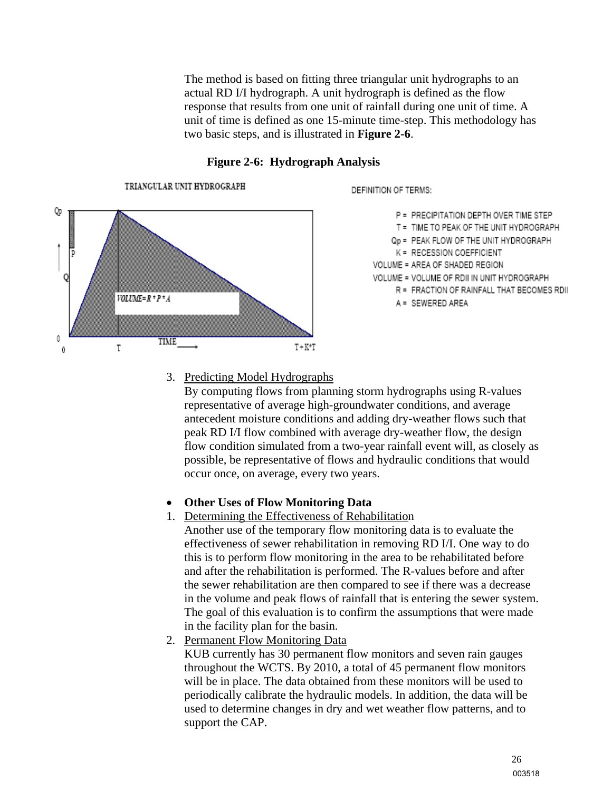The method is based on fitting three triangular unit hydrographs to an actual RD I/I hydrograph. A unit hydrograph is defined as the flow response that results from one unit of rainfall during one unit of time. A unit of time is defined as one 15-minute time-step. This methodology has two basic steps, and is illustrated in **Figure 2-6**.

# **Figure 2-6: Hydrograph Analysis**



TRIANGULAR UNIT HYDROGRAPH

DEFINITION OF TERMS:

P = PRECIPITATION DEPTH OVER TIME STEP T = TIME TO PEAK OF THE UNIT HYDROGRAPH Qp = PEAK FLOW OF THE UNIT HYDROGRAPH K = RECESSION COEFFICIENT VOLUME = AREA OF SHADED REGION VOLUME = VOLUME OF RDII IN UNIT HYDROGRAPH R = FRACTION OF RAINFALL THAT BECOMES RDII A = SEWERED AREA

3. Predicting Model Hydrographs

By computing flows from planning storm hydrographs using R-values representative of average high-groundwater conditions, and average antecedent moisture conditions and adding dry-weather flows such that peak RD I/I flow combined with average dry-weather flow, the design flow condition simulated from a two-year rainfall event will, as closely as possible, be representative of flows and hydraulic conditions that would occur once, on average, every two years.

#### **Other Uses of Flow Monitoring Data**

1. Determining the Effectiveness of Rehabilitation

Another use of the temporary flow monitoring data is to evaluate the effectiveness of sewer rehabilitation in removing RD I/I. One way to do this is to perform flow monitoring in the area to be rehabilitated before and after the rehabilitation is performed. The R-values before and after the sewer rehabilitation are then compared to see if there was a decrease in the volume and peak flows of rainfall that is entering the sewer system. The goal of this evaluation is to confirm the assumptions that were made in the facility plan for the basin.

2. Permanent Flow Monitoring Data

KUB currently has 30 permanent flow monitors and seven rain gauges throughout the WCTS. By 2010, a total of 45 permanent flow monitors will be in place. The data obtained from these monitors will be used to periodically calibrate the hydraulic models. In addition, the data will be used to determine changes in dry and wet weather flow patterns, and to support the CAP.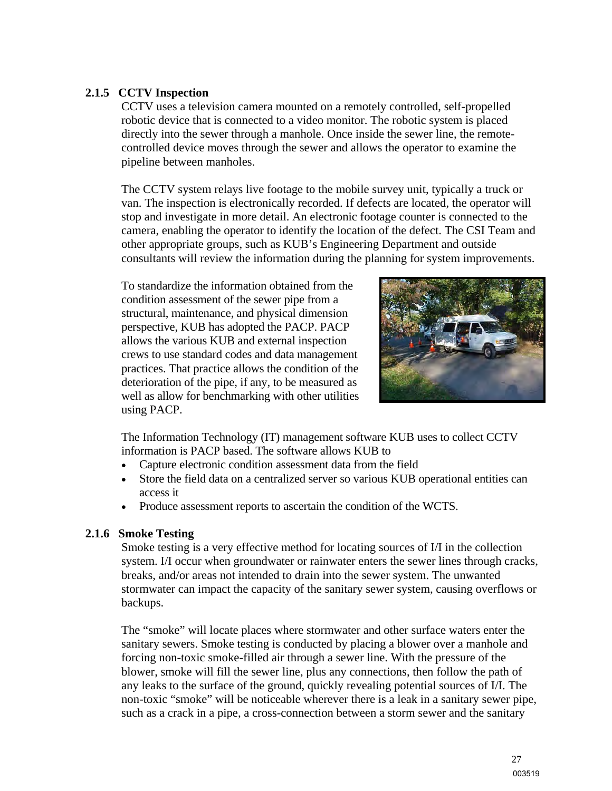# **2.1.5 CCTV Inspection**

CCTV uses a television camera mounted on a remotely controlled, self-propelled robotic device that is connected to a video monitor. The robotic system is placed directly into the sewer through a manhole. Once inside the sewer line, the remotecontrolled device moves through the sewer and allows the operator to examine the pipeline between manholes.

The CCTV system relays live footage to the mobile survey unit, typically a truck or van. The inspection is electronically recorded. If defects are located, the operator will stop and investigate in more detail. An electronic footage counter is connected to the camera, enabling the operator to identify the location of the defect. The CSI Team and other appropriate groups, such as KUB's Engineering Department and outside consultants will review the information during the planning for system improvements.

To standardize the information obtained from the condition assessment of the sewer pipe from a structural, maintenance, and physical dimension perspective, KUB has adopted the PACP. PACP allows the various KUB and external inspection crews to use standard codes and data management practices. That practice allows the condition of the deterioration of the pipe, if any, to be measured as well as allow for benchmarking with other utilities using PACP.



The Information Technology (IT) management software KUB uses to collect CCTV information is PACP based. The software allows KUB to

- Capture electronic condition assessment data from the field
- Store the field data on a centralized server so various KUB operational entities can access it
- Produce assessment reports to ascertain the condition of the WCTS.

# **2.1.6 Smoke Testing**

Smoke testing is a very effective method for locating sources of I/I in the collection system. I/I occur when groundwater or rainwater enters the sewer lines through cracks, breaks, and/or areas not intended to drain into the sewer system. The unwanted stormwater can impact the capacity of the sanitary sewer system, causing overflows or backups.

The "smoke" will locate places where stormwater and other surface waters enter the sanitary sewers. Smoke testing is conducted by placing a blower over a manhole and forcing non-toxic smoke-filled air through a sewer line. With the pressure of the blower, smoke will fill the sewer line, plus any connections, then follow the path of any leaks to the surface of the ground, quickly revealing potential sources of I/I. The non-toxic "smoke" will be noticeable wherever there is a leak in a sanitary sewer pipe, such as a crack in a pipe, a cross-connection between a storm sewer and the sanitary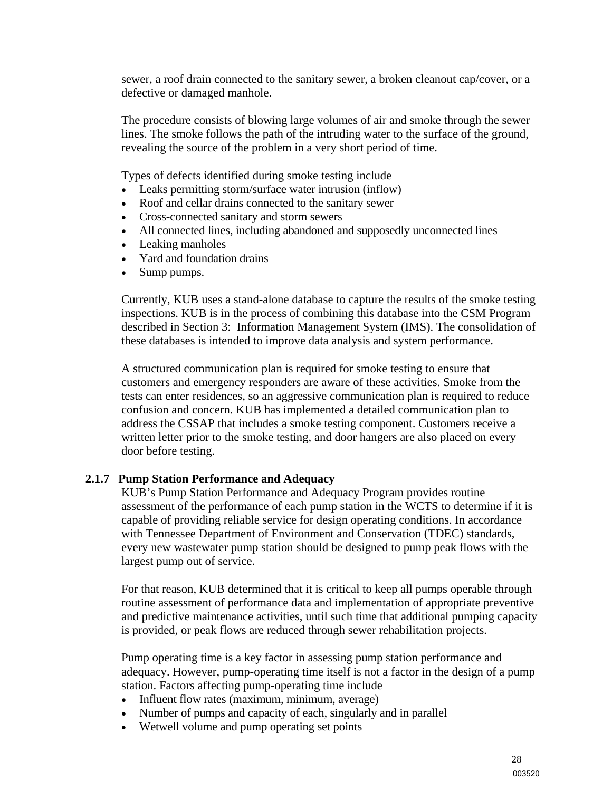sewer, a roof drain connected to the sanitary sewer, a broken cleanout cap/cover, or a defective or damaged manhole.

The procedure consists of blowing large volumes of air and smoke through the sewer lines. The smoke follows the path of the intruding water to the surface of the ground, revealing the source of the problem in a very short period of time.

Types of defects identified during smoke testing include

- Leaks permitting storm/surface water intrusion (inflow)
- Roof and cellar drains connected to the sanitary sewer
- Cross-connected sanitary and storm sewers
- All connected lines, including abandoned and supposedly unconnected lines
- Leaking manholes
- Yard and foundation drains
- Sump pumps.

Currently, KUB uses a stand-alone database to capture the results of the smoke testing inspections. KUB is in the process of combining this database into the CSM Program described in Section 3: Information Management System (IMS). The consolidation of these databases is intended to improve data analysis and system performance.

A structured communication plan is required for smoke testing to ensure that customers and emergency responders are aware of these activities. Smoke from the tests can enter residences, so an aggressive communication plan is required to reduce confusion and concern. KUB has implemented a detailed communication plan to address the CSSAP that includes a smoke testing component. Customers receive a written letter prior to the smoke testing, and door hangers are also placed on every door before testing.

# **2.1.7 Pump Station Performance and Adequacy**

KUB's Pump Station Performance and Adequacy Program provides routine assessment of the performance of each pump station in the WCTS to determine if it is capable of providing reliable service for design operating conditions. In accordance with Tennessee Department of Environment and Conservation (TDEC) standards, every new wastewater pump station should be designed to pump peak flows with the largest pump out of service.

For that reason, KUB determined that it is critical to keep all pumps operable through routine assessment of performance data and implementation of appropriate preventive and predictive maintenance activities, until such time that additional pumping capacity is provided, or peak flows are reduced through sewer rehabilitation projects.

Pump operating time is a key factor in assessing pump station performance and adequacy. However, pump-operating time itself is not a factor in the design of a pump station. Factors affecting pump-operating time include

- Influent flow rates (maximum, minimum, average)
- Number of pumps and capacity of each, singularly and in parallel
- Wetwell volume and pump operating set points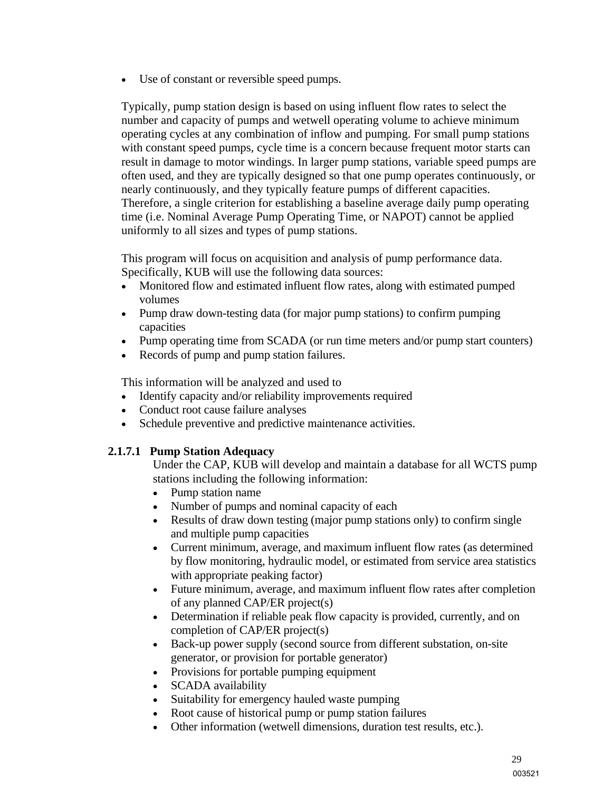Use of constant or reversible speed pumps.

Typically, pump station design is based on using influent flow rates to select the number and capacity of pumps and wetwell operating volume to achieve minimum operating cycles at any combination of inflow and pumping. For small pump stations with constant speed pumps, cycle time is a concern because frequent motor starts can result in damage to motor windings. In larger pump stations, variable speed pumps are often used, and they are typically designed so that one pump operates continuously, or nearly continuously, and they typically feature pumps of different capacities. Therefore, a single criterion for establishing a baseline average daily pump operating time (i.e. Nominal Average Pump Operating Time, or NAPOT) cannot be applied uniformly to all sizes and types of pump stations.

This program will focus on acquisition and analysis of pump performance data. Specifically, KUB will use the following data sources:

- Monitored flow and estimated influent flow rates, along with estimated pumped volumes
- Pump draw down-testing data (for major pump stations) to confirm pumping capacities
- Pump operating time from SCADA (or run time meters and/or pump start counters)
- Records of pump and pump station failures.

This information will be analyzed and used to

- Identify capacity and/or reliability improvements required
- Conduct root cause failure analyses
- Schedule preventive and predictive maintenance activities.

# **2.1.7.1 Pump Station Adequacy**

Under the CAP, KUB will develop and maintain a database for all WCTS pump stations including the following information:

- Pump station name
- Number of pumps and nominal capacity of each
- Results of draw down testing (major pump stations only) to confirm single and multiple pump capacities
- Current minimum, average, and maximum influent flow rates (as determined by flow monitoring, hydraulic model, or estimated from service area statistics with appropriate peaking factor)
- Future minimum, average, and maximum influent flow rates after completion of any planned CAP/ER project(s)
- Determination if reliable peak flow capacity is provided, currently, and on completion of CAP/ER project(s)
- Back-up power supply (second source from different substation, on-site generator, or provision for portable generator)
- Provisions for portable pumping equipment
- SCADA availability
- Suitability for emergency hauled waste pumping
- Root cause of historical pump or pump station failures
- Other information (wetwell dimensions, duration test results, etc.).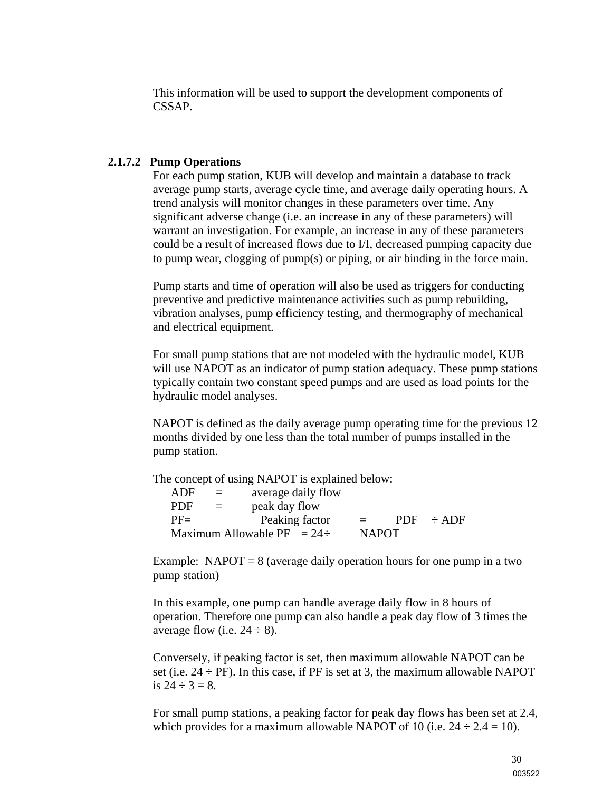This information will be used to support the development components of CSSAP.

#### **2.1.7.2 Pump Operations**

For each pump station, KUB will develop and maintain a database to track average pump starts, average cycle time, and average daily operating hours. A trend analysis will monitor changes in these parameters over time. Any significant adverse change (i.e. an increase in any of these parameters) will warrant an investigation. For example, an increase in any of these parameters could be a result of increased flows due to I/I, decreased pumping capacity due to pump wear, clogging of pump(s) or piping, or air binding in the force main.

Pump starts and time of operation will also be used as triggers for conducting preventive and predictive maintenance activities such as pump rebuilding, vibration analyses, pump efficiency testing, and thermography of mechanical and electrical equipment.

For small pump stations that are not modeled with the hydraulic model, KUB will use NAPOT as an indicator of pump station adequacy. These pump stations typically contain two constant speed pumps and are used as load points for the hydraulic model analyses.

NAPOT is defined as the daily average pump operating time for the previous 12 months divided by one less than the total number of pumps installed in the pump station.

The concept of using NAPOT is explained below:

 $ADF =$  average daily flow PDF  $=$  peak day flow  $PF =$  Peaking factor = PDF  $\div$  ADF Maximum Allowable  $PF = 24 \div$  NAPOT

Example: NAPOT  $= 8$  (average daily operation hours for one pump in a two pump station)

In this example, one pump can handle average daily flow in 8 hours of operation. Therefore one pump can also handle a peak day flow of 3 times the average flow (i.e.  $24 \div 8$ ).

Conversely, if peaking factor is set, then maximum allowable NAPOT can be set (i.e.  $24 \div PF$ ). In this case, if PF is set at 3, the maximum allowable NAPOT is  $24 \div 3 = 8$ .

For small pump stations, a peaking factor for peak day flows has been set at 2.4, which provides for a maximum allowable NAPOT of 10 (i.e.  $24 \div 2.4 = 10$ ).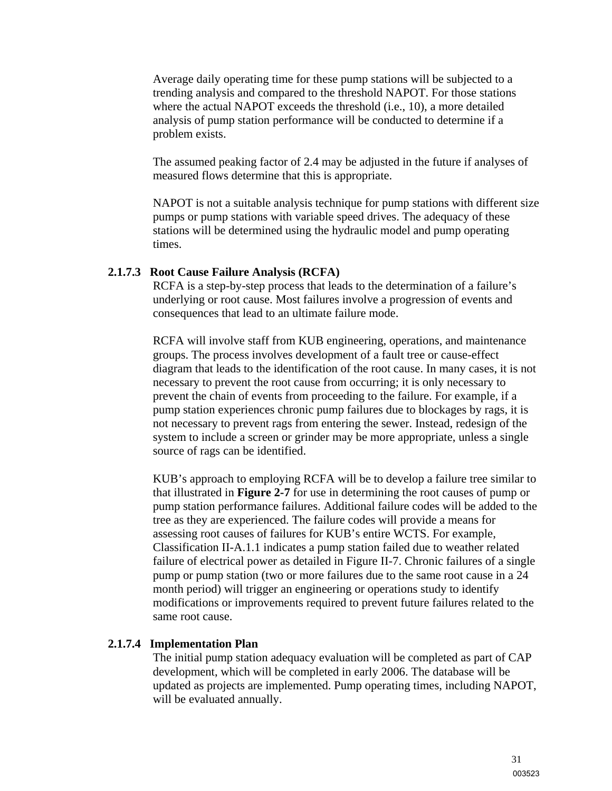Average daily operating time for these pump stations will be subjected to a trending analysis and compared to the threshold NAPOT. For those stations where the actual NAPOT exceeds the threshold (i.e., 10), a more detailed analysis of pump station performance will be conducted to determine if a problem exists.

The assumed peaking factor of 2.4 may be adjusted in the future if analyses of measured flows determine that this is appropriate.

NAPOT is not a suitable analysis technique for pump stations with different size pumps or pump stations with variable speed drives. The adequacy of these stations will be determined using the hydraulic model and pump operating times.

#### **2.1.7.3 Root Cause Failure Analysis (RCFA)**

RCFA is a step-by-step process that leads to the determination of a failure's underlying or root cause. Most failures involve a progression of events and consequences that lead to an ultimate failure mode.

RCFA will involve staff from KUB engineering, operations, and maintenance groups. The process involves development of a fault tree or cause-effect diagram that leads to the identification of the root cause. In many cases, it is not necessary to prevent the root cause from occurring; it is only necessary to prevent the chain of events from proceeding to the failure. For example, if a pump station experiences chronic pump failures due to blockages by rags, it is not necessary to prevent rags from entering the sewer. Instead, redesign of the system to include a screen or grinder may be more appropriate, unless a single source of rags can be identified.

KUB's approach to employing RCFA will be to develop a failure tree similar to that illustrated in **Figure 2-7** for use in determining the root causes of pump or pump station performance failures. Additional failure codes will be added to the tree as they are experienced. The failure codes will provide a means for assessing root causes of failures for KUB's entire WCTS. For example, Classification II-A.1.1 indicates a pump station failed due to weather related failure of electrical power as detailed in Figure II-7. Chronic failures of a single pump or pump station (two or more failures due to the same root cause in a 24 month period) will trigger an engineering or operations study to identify modifications or improvements required to prevent future failures related to the same root cause.

#### **2.1.7.4 Implementation Plan**

The initial pump station adequacy evaluation will be completed as part of CAP development, which will be completed in early 2006. The database will be updated as projects are implemented. Pump operating times, including NAPOT, will be evaluated annually.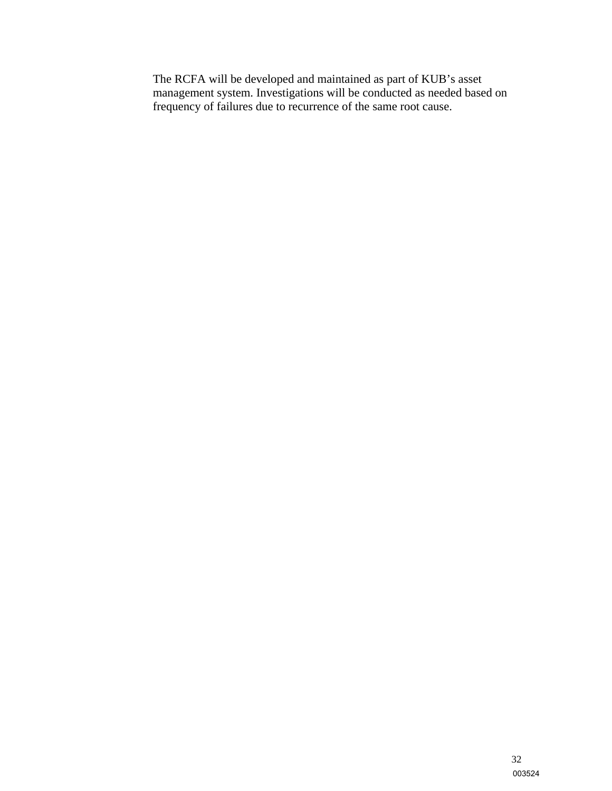The RCFA will be developed and maintained as part of KUB's asset management system. Investigations will be conducted as needed based on frequency of failures due to recurrence of the same root cause.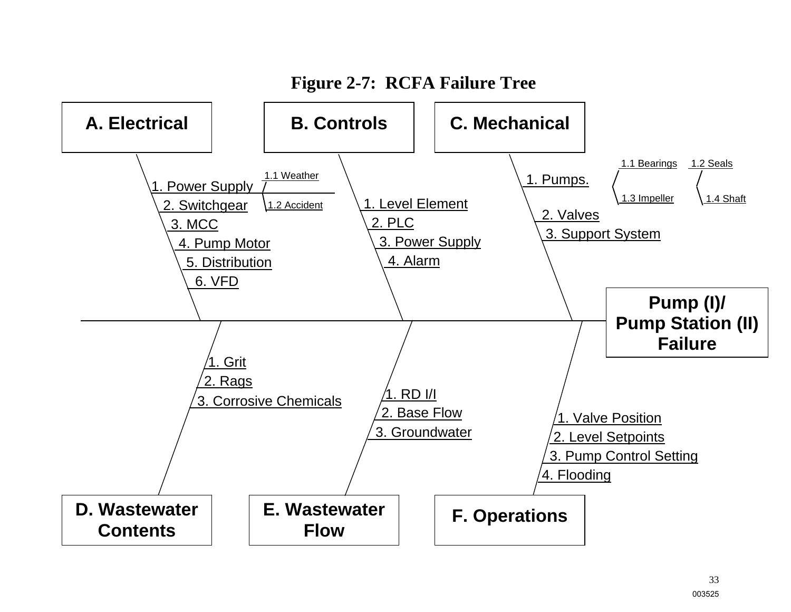

**Figure 2-7: RCFA Failure Tree**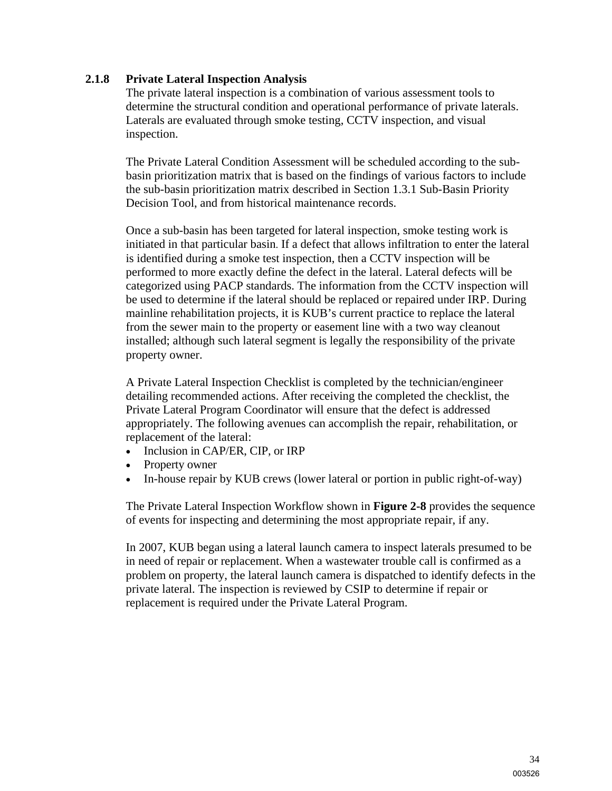# **2.1.8 Private Lateral Inspection Analysis**

The private lateral inspection is a combination of various assessment tools to determine the structural condition and operational performance of private laterals. Laterals are evaluated through smoke testing, CCTV inspection, and visual inspection.

The Private Lateral Condition Assessment will be scheduled according to the subbasin prioritization matrix that is based on the findings of various factors to include the sub-basin prioritization matrix described in Section 1.3.1 Sub-Basin Priority Decision Tool, and from historical maintenance records.

Once a sub-basin has been targeted for lateral inspection, smoke testing work is initiated in that particular basin. If a defect that allows infiltration to enter the lateral is identified during a smoke test inspection, then a CCTV inspection will be performed to more exactly define the defect in the lateral. Lateral defects will be categorized using PACP standards. The information from the CCTV inspection will be used to determine if the lateral should be replaced or repaired under IRP. During mainline rehabilitation projects, it is KUB's current practice to replace the lateral from the sewer main to the property or easement line with a two way cleanout installed; although such lateral segment is legally the responsibility of the private property owner.

A Private Lateral Inspection Checklist is completed by the technician/engineer detailing recommended actions. After receiving the completed the checklist, the Private Lateral Program Coordinator will ensure that the defect is addressed appropriately. The following avenues can accomplish the repair, rehabilitation, or replacement of the lateral:

- Inclusion in CAP/ER, CIP, or IRP
- Property owner
- In-house repair by KUB crews (lower lateral or portion in public right-of-way)

The Private Lateral Inspection Workflow shown in **Figure 2-8** provides the sequence of events for inspecting and determining the most appropriate repair, if any.

In 2007, KUB began using a lateral launch camera to inspect laterals presumed to be in need of repair or replacement. When a wastewater trouble call is confirmed as a problem on property, the lateral launch camera is dispatched to identify defects in the private lateral. The inspection is reviewed by CSIP to determine if repair or replacement is required under the Private Lateral Program.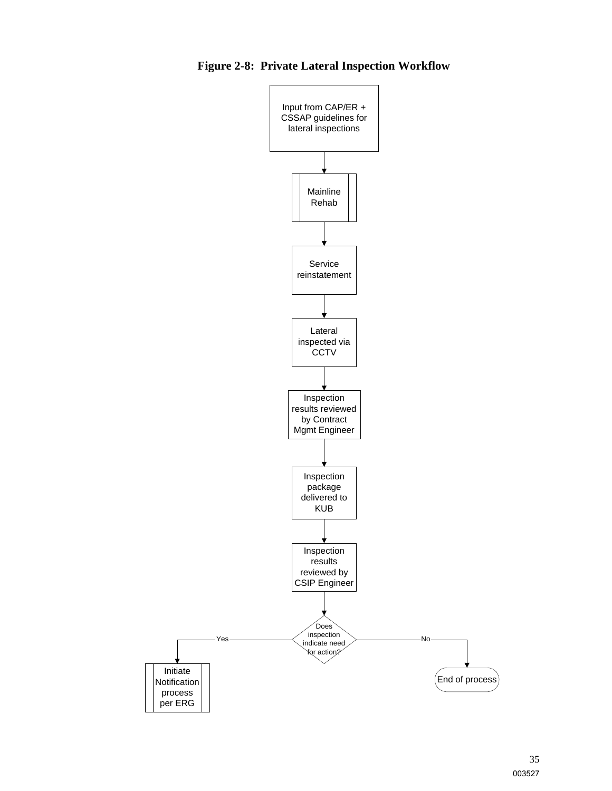

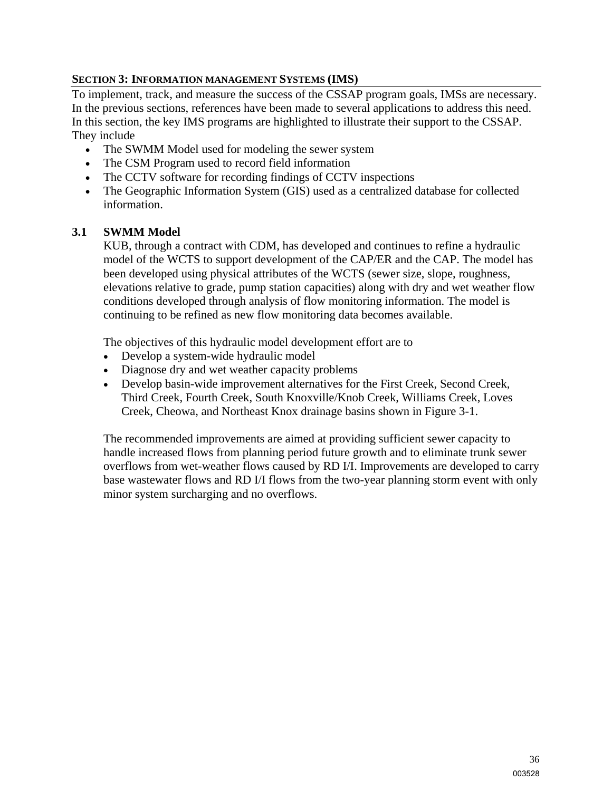# **SECTION 3: INFORMATION MANAGEMENT SYSTEMS (IMS)**

To implement, track, and measure the success of the CSSAP program goals, IMSs are necessary. In the previous sections, references have been made to several applications to address this need. In this section, the key IMS programs are highlighted to illustrate their support to the CSSAP. They include

- The SWMM Model used for modeling the sewer system
- The CSM Program used to record field information
- The CCTV software for recording findings of CCTV inspections
- The Geographic Information System (GIS) used as a centralized database for collected information.

# **3.1 SWMM Model**

KUB, through a contract with CDM, has developed and continues to refine a hydraulic model of the WCTS to support development of the CAP/ER and the CAP. The model has been developed using physical attributes of the WCTS (sewer size, slope, roughness, elevations relative to grade, pump station capacities) along with dry and wet weather flow conditions developed through analysis of flow monitoring information. The model is continuing to be refined as new flow monitoring data becomes available.

The objectives of this hydraulic model development effort are to

- Develop a system-wide hydraulic model
- Diagnose dry and wet weather capacity problems
- Develop basin-wide improvement alternatives for the First Creek, Second Creek, Third Creek, Fourth Creek, South Knoxville/Knob Creek, Williams Creek, Loves Creek, Cheowa, and Northeast Knox drainage basins shown in Figure 3-1.

The recommended improvements are aimed at providing sufficient sewer capacity to handle increased flows from planning period future growth and to eliminate trunk sewer overflows from wet-weather flows caused by RD I/I. Improvements are developed to carry base wastewater flows and RD I/I flows from the two-year planning storm event with only minor system surcharging and no overflows.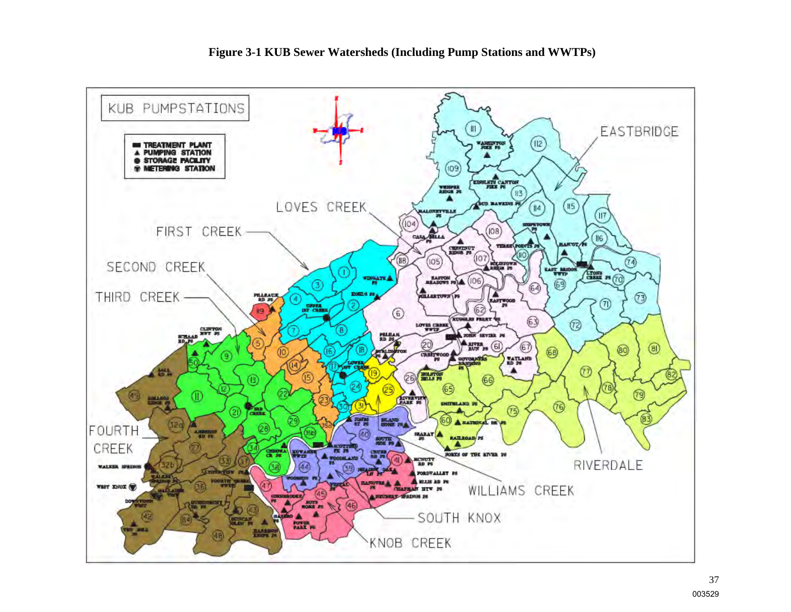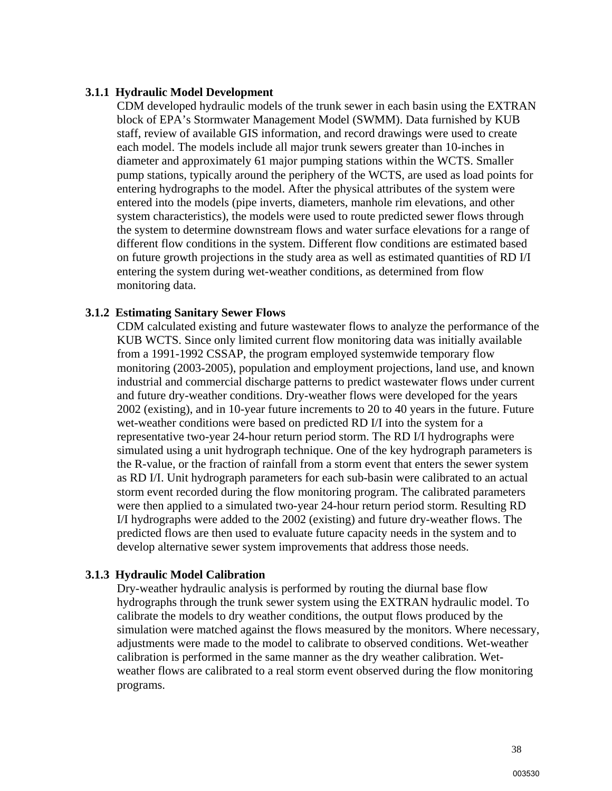#### **3.1.1 Hydraulic Model Development**

CDM developed hydraulic models of the trunk sewer in each basin using the EXTRAN block of EPA's Stormwater Management Model (SWMM). Data furnished by KUB staff, review of available GIS information, and record drawings were used to create each model. The models include all major trunk sewers greater than 10-inches in diameter and approximately 61 major pumping stations within the WCTS. Smaller pump stations, typically around the periphery of the WCTS, are used as load points for entering hydrographs to the model. After the physical attributes of the system were entered into the models (pipe inverts, diameters, manhole rim elevations, and other system characteristics), the models were used to route predicted sewer flows through the system to determine downstream flows and water surface elevations for a range of different flow conditions in the system. Different flow conditions are estimated based on future growth projections in the study area as well as estimated quantities of RD I/I entering the system during wet-weather conditions, as determined from flow monitoring data.

#### **3.1.2 Estimating Sanitary Sewer Flows**

CDM calculated existing and future wastewater flows to analyze the performance of the KUB WCTS. Since only limited current flow monitoring data was initially available from a 1991-1992 CSSAP, the program employed systemwide temporary flow monitoring (2003-2005), population and employment projections, land use, and known industrial and commercial discharge patterns to predict wastewater flows under current and future dry-weather conditions. Dry-weather flows were developed for the years 2002 (existing), and in 10-year future increments to 20 to 40 years in the future. Future wet-weather conditions were based on predicted RD I/I into the system for a representative two-year 24-hour return period storm. The RD I/I hydrographs were simulated using a unit hydrograph technique. One of the key hydrograph parameters is the R-value, or the fraction of rainfall from a storm event that enters the sewer system as RD I/I. Unit hydrograph parameters for each sub-basin were calibrated to an actual storm event recorded during the flow monitoring program. The calibrated parameters were then applied to a simulated two-year 24-hour return period storm. Resulting RD I/I hydrographs were added to the 2002 (existing) and future dry-weather flows. The predicted flows are then used to evaluate future capacity needs in the system and to develop alternative sewer system improvements that address those needs.

#### **3.1.3 Hydraulic Model Calibration**

Dry-weather hydraulic analysis is performed by routing the diurnal base flow hydrographs through the trunk sewer system using the EXTRAN hydraulic model. To calibrate the models to dry weather conditions, the output flows produced by the simulation were matched against the flows measured by the monitors. Where necessary, adjustments were made to the model to calibrate to observed conditions. Wet-weather calibration is performed in the same manner as the dry weather calibration. Wetweather flows are calibrated to a real storm event observed during the flow monitoring programs.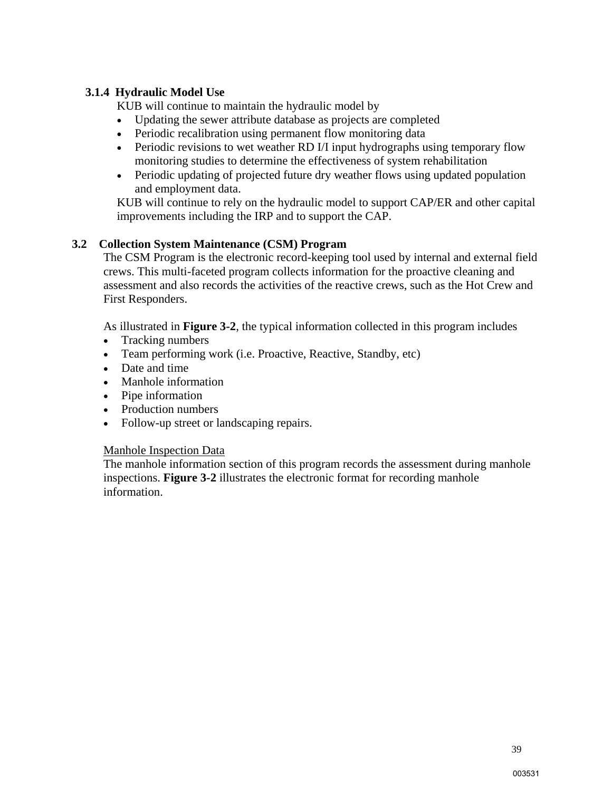# **3.1.4 Hydraulic Model Use**

KUB will continue to maintain the hydraulic model by

- Updating the sewer attribute database as projects are completed
- Periodic recalibration using permanent flow monitoring data
- Periodic revisions to wet weather RD I/I input hydrographs using temporary flow monitoring studies to determine the effectiveness of system rehabilitation
- Periodic updating of projected future dry weather flows using updated population and employment data.

KUB will continue to rely on the hydraulic model to support CAP/ER and other capital improvements including the IRP and to support the CAP.

# **3.2 Collection System Maintenance (CSM) Program**

The CSM Program is the electronic record-keeping tool used by internal and external field crews. This multi-faceted program collects information for the proactive cleaning and assessment and also records the activities of the reactive crews, such as the Hot Crew and First Responders.

As illustrated in **Figure 3-2**, the typical information collected in this program includes

- Tracking numbers
- Team performing work (i.e. Proactive, Reactive, Standby, etc)
- Date and time
- Manhole information
- Pipe information
- Production numbers
- Follow-up street or landscaping repairs.

#### Manhole Inspection Data

The manhole information section of this program records the assessment during manhole inspections. **Figure 3-2** illustrates the electronic format for recording manhole information.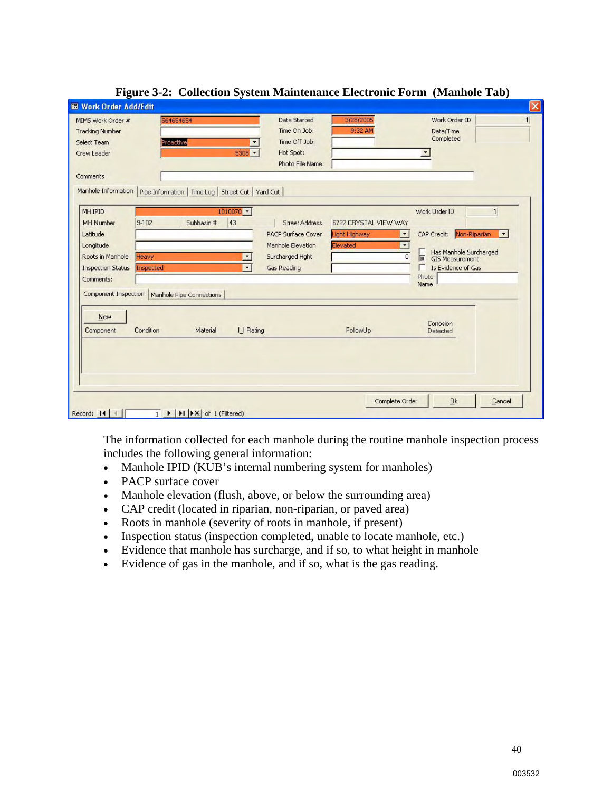| MIMS Work Order #<br><b>Tracking Number</b>  | 564654654                                                                 | <b>Date Started</b><br>Time On Job:                                 | 3/28/2005<br>9:32 AM  | Work Order ID<br>Date/Time                                                  |
|----------------------------------------------|---------------------------------------------------------------------------|---------------------------------------------------------------------|-----------------------|-----------------------------------------------------------------------------|
| Select Team<br>Crew Leader                   | Proactive                                                                 | Time Off Job:<br>5308 $+$<br>Hot Spot:<br>Photo File Name:          |                       | Completed<br>$\blacktriangledown$                                           |
| Comments                                     | Manhole Information   Pipe Information   Time Log   Street Cut   Yard Cut |                                                                     |                       |                                                                             |
| MH IPID<br>MH Number                         | 9-102<br>Subbasin #                                                       | $1010070$ $\star$<br>43<br><b>Street Address</b>                    | 6722 CRYSTAL VIEW WAY | Work Order ID                                                               |
| Latitude                                     |                                                                           | <b>PACP Surface Cover</b>                                           | Light Highway         | CAP Credit: Non-Riparian<br>$\vert \cdot \vert$<br>$\overline{\phantom{a}}$ |
| Longitude                                    |                                                                           | Manhole Elevation                                                   | Elevated              | $\blacktriangledown$<br>Has Manhole Surcharged                              |
| Roots in Manhole<br><b>Inspection Status</b> | Heavy<br>Inspected                                                        | Surcharged Hght<br>$\blacktriangledown$<br>$\bullet$<br>Gas Reading |                       | 圈<br><b>GIS Measurement</b><br>Is Evidence of Gas<br>г                      |
| Comments:<br>Component Inspection            | Manhole Pipe Connections                                                  |                                                                     |                       | Photo<br>Name                                                               |
| New                                          | <b>Condition</b><br>Material                                              | I I Rating                                                          | FollowUp              | Corrosion<br>Detected                                                       |

**Figure 3-2: Collection System Maintenance Electronic Form (Manhole Tab)** 

The information collected for each manhole during the routine manhole inspection process includes the following general information:

- Manhole IPID (KUB's internal numbering system for manholes)
- PACP surface cover
- Manhole elevation (flush, above, or below the surrounding area)
- CAP credit (located in riparian, non-riparian, or paved area)
- Roots in manhole (severity of roots in manhole, if present)
- Inspection status (inspection completed, unable to locate manhole, etc.)
- Evidence that manhole has surcharge, and if so, to what height in manhole
- Evidence of gas in the manhole, and if so, what is the gas reading.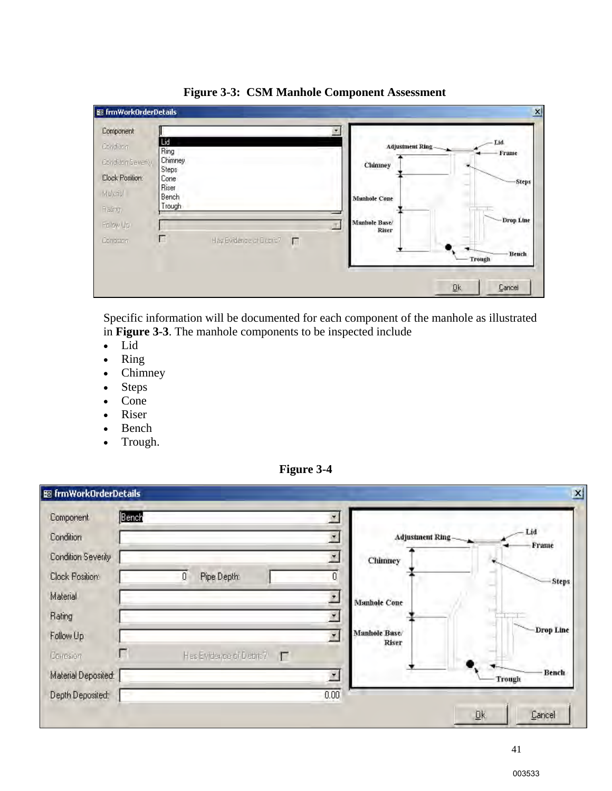| Component          |                                          | ÷                                    |                  |
|--------------------|------------------------------------------|--------------------------------------|------------------|
| Conditori          | Lid<br>Ring                              | Adjustment Ring                      | Lid<br>Frame     |
| Condition Severity | Chimney<br>Steps                         | Clunmey                              |                  |
| Clock Position:    | Cone                                     |                                      | <b>Steps</b>     |
| Material           | Riser<br>Bench                           | <b>Manhole Cone</b>                  |                  |
| Flating,           | Trough                                   | dental.                              |                  |
| Fallow Up.         |                                          | Manhole Base/<br><b>ATI</b><br>Riser | <b>Drop Line</b> |
| Compsion           | Г<br>Has Evidence of Debric?<br>$\Gamma$ |                                      |                  |
|                    |                                          | Trough                               | Bench            |

**Figure 3-3: CSM Manhole Component Assessment** 

Specific information will be documented for each component of the manhole as illustrated in **Figure 3-3**. The manhole components to be inspected include

- Lid
- $\bullet$  Ring
- Chimney
- Steps
- Cone
- Riser
- Bench
- Trough.

**Figure 3-4** 

| Component.<br>Bench |                         | $\star$                           |                 |
|---------------------|-------------------------|-----------------------------------|-----------------|
| Condition           |                         | $\sigma$<br>Adjustment Ring-      | Lid<br>France   |
| Condition Severity  |                         | $\sigma$<br>Chimney               |                 |
| Clock Position:     | 0<br>Pipe Depth:        | $\overline{0}$                    | -Steps          |
| Material            |                         | $\bullet$<br><b>Manhole Cone</b>  |                 |
| Rating              |                         | ×.                                |                 |
| Follow Up           |                         | <b>Manhole Base</b><br>×<br>Riser | -Drop Line      |
| Corosion            | Has Eyidence of Debris? |                                   |                 |
| Material Deposited: |                         | $\mathcal{F}_i$                   | Bench<br>Trough |
| Depth Deposited:    |                         | 0.00                              |                 |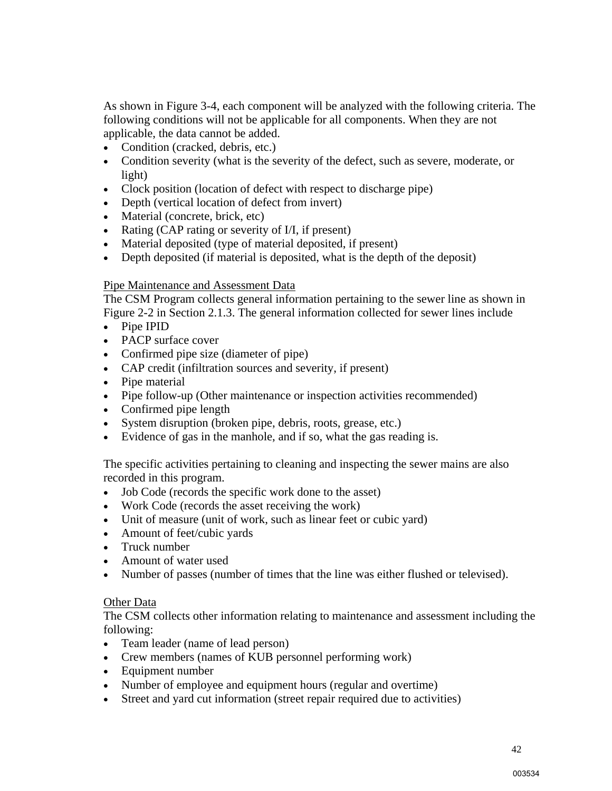As shown in Figure 3-4, each component will be analyzed with the following criteria. The following conditions will not be applicable for all components. When they are not applicable, the data cannot be added.

- Condition (cracked, debris, etc.)
- Condition severity (what is the severity of the defect, such as severe, moderate, or light)
- Clock position (location of defect with respect to discharge pipe)
- Depth (vertical location of defect from invert)
- Material (concrete, brick, etc)
- Rating (CAP rating or severity of I/I, if present)
- Material deposited (type of material deposited, if present)
- Depth deposited (if material is deposited, what is the depth of the deposit)

#### Pipe Maintenance and Assessment Data

The CSM Program collects general information pertaining to the sewer line as shown in Figure 2-2 in Section 2.1.3. The general information collected for sewer lines include

- Pipe IPID
- PACP surface cover
- Confirmed pipe size (diameter of pipe)
- CAP credit (infiltration sources and severity, if present)
- Pipe material
- Pipe follow-up (Other maintenance or inspection activities recommended)
- Confirmed pipe length
- System disruption (broken pipe, debris, roots, grease, etc.)
- Evidence of gas in the manhole, and if so, what the gas reading is.

The specific activities pertaining to cleaning and inspecting the sewer mains are also recorded in this program.

- Job Code (records the specific work done to the asset)
- Work Code (records the asset receiving the work)
- Unit of measure (unit of work, such as linear feet or cubic yard)
- Amount of feet/cubic yards
- Truck number
- Amount of water used
- Number of passes (number of times that the line was either flushed or televised).

#### Other Data

The CSM collects other information relating to maintenance and assessment including the following:

- Team leader (name of lead person)
- Crew members (names of KUB personnel performing work)
- Equipment number
- Number of employee and equipment hours (regular and overtime)
- Street and yard cut information (street repair required due to activities)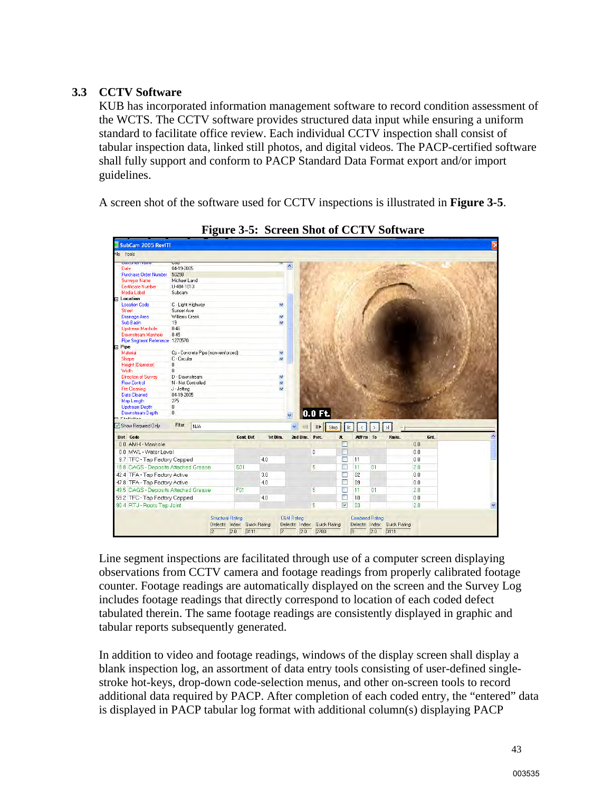# **3.3 CCTV Software**

KUB has incorporated information management software to record condition assessment of the WCTS. The CCTV software provides structured data input while ensuring a uniform standard to facilitate office review. Each individual CCTV inspection shall consist of tabular inspection data, linked still photos, and digital videos. The PACP-certified software shall fully support and conform to PACP Standard Data Format export and/or import guidelines.

A screen shot of the software used for CCTV inspections is illustrated in **Figure 3-5**.

| SubCam 2005 RevIT!                                   |                                     |                                                           |                         |                                                        |                |                     |                        |    |                               |      |   |
|------------------------------------------------------|-------------------------------------|-----------------------------------------------------------|-------------------------|--------------------------------------------------------|----------------|---------------------|------------------------|----|-------------------------------|------|---|
| File Tools                                           |                                     |                                                           |                         |                                                        |                |                     |                        |    |                               |      |   |
| Customer reame                                       | $\overline{\text{exp}}$             |                                                           |                         | ^                                                      |                |                     |                        |    |                               |      |   |
| Date                                                 | 04-19-2005<br>50258                 |                                                           |                         |                                                        |                |                     |                        |    |                               |      |   |
| <b>Purchase Order Number</b><br><b>Surveyor Name</b> | Michael Land                        |                                                           |                         |                                                        |                |                     |                        |    |                               |      |   |
| <b>Certificate Number</b>                            | U-404-1013                          |                                                           |                         |                                                        |                |                     |                        |    |                               |      |   |
| Media Label                                          | Subcam                              |                                                           |                         |                                                        |                |                     |                        |    |                               |      |   |
| Location<br>Ε                                        |                                     |                                                           |                         |                                                        |                |                     |                        |    |                               |      |   |
| <b>Location Code</b>                                 | C - Light Highway                   |                                                           | v                       |                                                        |                |                     |                        |    |                               |      |   |
| Street                                               | Sunset Ave                          |                                                           |                         |                                                        |                |                     |                        |    |                               |      |   |
| Drainage Area                                        | Williams Creek                      |                                                           | ٧                       |                                                        |                |                     |                        |    |                               |      |   |
| Sub Basin                                            | 19                                  |                                                           | $\overline{\mathsf{v}}$ |                                                        |                |                     |                        |    |                               |      |   |
| <b>Upstream Manhole</b>                              | $8-46$                              |                                                           |                         |                                                        |                |                     |                        |    |                               |      |   |
| Downstream Manhole                                   | $8-45$                              |                                                           |                         |                                                        |                |                     |                        |    |                               |      |   |
| Pipe Segment Reference 1270570                       |                                     |                                                           |                         |                                                        |                |                     |                        |    |                               |      |   |
| $\neg$ Pipe                                          |                                     |                                                           |                         |                                                        |                |                     |                        |    |                               |      |   |
| Material                                             | Cp - Concrete Pipe (non-reinforced) |                                                           | v                       |                                                        |                |                     |                        |    |                               |      |   |
| Shape                                                | C - Circular                        |                                                           | $\ddot{\phantom{1}}$    |                                                        |                |                     |                        |    |                               |      |   |
| <b>Height (Diameter)</b>                             | 8<br>8                              |                                                           |                         |                                                        |                |                     |                        |    |                               |      |   |
| Width<br><b>Direction of Survey</b>                  | D - Downstream                      |                                                           |                         |                                                        |                |                     |                        |    |                               |      |   |
| <b>Flow Control</b>                                  | N - Not Controlled                  |                                                           | M<br>v                  |                                                        |                |                     |                        |    |                               |      |   |
| Pre-Cleaning                                         | J - Jetting                         |                                                           | $\ddot{\mathbf{v}}$     |                                                        |                |                     |                        |    |                               |      |   |
| <b>Date Cleaned</b>                                  | 04-19-2005                          |                                                           |                         |                                                        |                |                     |                        |    |                               |      |   |
| Map Length                                           | 275                                 |                                                           |                         |                                                        |                |                     |                        |    |                               |      |   |
| <b>Upstream Depth</b>                                | 0                                   |                                                           |                         |                                                        |                |                     |                        |    |                               |      |   |
| Downstream Depth                                     | $\mathbf{0}$                        |                                                           |                         | $\ddotmark$                                            | $0.0$ FL       |                     |                        |    |                               |      |   |
| <b>Caustoston</b>                                    |                                     |                                                           |                         |                                                        |                |                     |                        |    |                               |      |   |
| Show Required Only                                   | Filter:<br>N/A                      |                                                           |                         |                                                        | $\blacksquare$ | Stop<br>$\mathbf k$ |                        |    |                               |      |   |
| Dist Code                                            |                                     | Cont Def.                                                 | 1st Dim.                | 2nd Dim.                                               | Perc.          | Jt.                 | AtFro: To              |    | Rmks.                         | Crd. | ۸ |
| 0.0 AMH - Manhole                                    |                                     |                                                           |                         |                                                        |                | ь                   |                        |    |                               | 0.0  |   |
| 0.0 MWL - Water Level                                |                                     |                                                           |                         |                                                        | 0              | г                   |                        |    |                               | 0.0  |   |
| 9.7 TFC - Tap Factory Capped                         |                                     |                                                           | 4.0                     |                                                        |                | D                   | 11                     |    |                               | 0.0  |   |
| 18.8 DAGS - Deposits Attached Grease                 |                                     | <b>S01</b>                                                |                         |                                                        | 5              | $\Box$              | 11                     | 01 |                               | 2.0  |   |
| 42.4 TFA - Tap Factory Active                        |                                     |                                                           | 3.0                     |                                                        |                | П                   | 02                     |    |                               | 0.0  |   |
| 47.8 TFA - Tap Factory Active                        |                                     |                                                           | 4.0                     |                                                        |                | П                   | 09                     |    |                               | 0.0  |   |
| 49.5 DAGS - Deposits Attached Grease                 |                                     | F <sub>01</sub>                                           |                         |                                                        | 5              | П                   | 11                     | 01 |                               | 2.0  |   |
| 59.2 TFC - Tap Factory Capped                        |                                     |                                                           | 4.0                     |                                                        |                | Е                   | 10                     |    |                               | 0.0  |   |
| 90.4 RTJ - Roots Tap Joint                           |                                     |                                                           |                         |                                                        | 5              | ☑                   | 03                     |    |                               | 2.0  |   |
|                                                      |                                     |                                                           |                         |                                                        |                |                     |                        |    |                               |      |   |
|                                                      |                                     |                                                           |                         |                                                        |                |                     |                        |    |                               |      |   |
|                                                      |                                     | <b>Structural Rating</b><br>Defects: Index: Quick Rating: |                         | <b>O&amp;M Rating</b><br>Defects: Index: Quick Rating: |                |                     | <b>Combined Rating</b> |    | Defects: Index: Quick Rating: |      |   |

**Figure 3-5: Screen Shot of CCTV Software** 

Line segment inspections are facilitated through use of a computer screen displaying observations from CCTV camera and footage readings from properly calibrated footage counter. Footage readings are automatically displayed on the screen and the Survey Log includes footage readings that directly correspond to location of each coded defect tabulated therein. The same footage readings are consistently displayed in graphic and tabular reports subsequently generated.

In addition to video and footage readings, windows of the display screen shall display a blank inspection log, an assortment of data entry tools consisting of user-defined singlestroke hot-keys, drop-down code-selection menus, and other on-screen tools to record additional data required by PACP. After completion of each coded entry, the "entered" data is displayed in PACP tabular log format with additional column(s) displaying PACP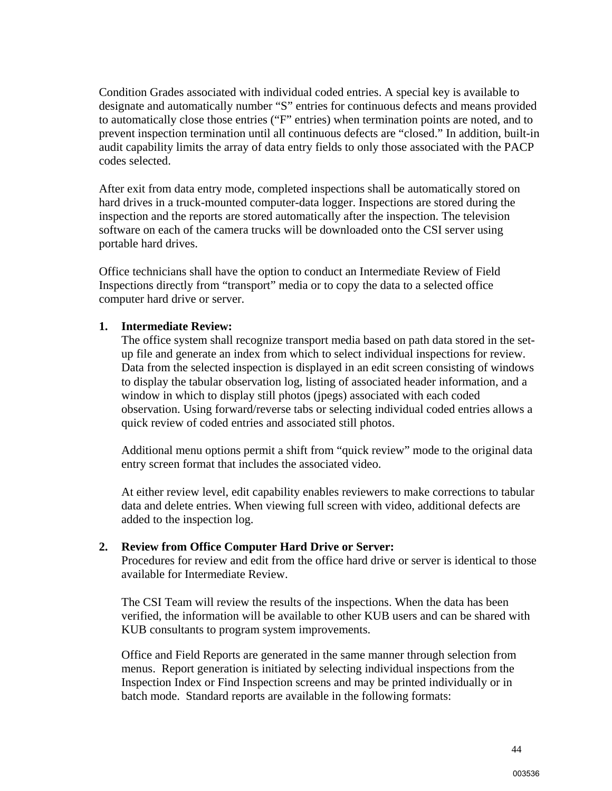Condition Grades associated with individual coded entries. A special key is available to designate and automatically number "S" entries for continuous defects and means provided to automatically close those entries ("F" entries) when termination points are noted, and to prevent inspection termination until all continuous defects are "closed." In addition, built-in audit capability limits the array of data entry fields to only those associated with the PACP codes selected.

After exit from data entry mode, completed inspections shall be automatically stored on hard drives in a truck-mounted computer-data logger. Inspections are stored during the inspection and the reports are stored automatically after the inspection. The television software on each of the camera trucks will be downloaded onto the CSI server using portable hard drives.

Office technicians shall have the option to conduct an Intermediate Review of Field Inspections directly from "transport" media or to copy the data to a selected office computer hard drive or server.

#### **1. Intermediate Review:**

The office system shall recognize transport media based on path data stored in the setup file and generate an index from which to select individual inspections for review. Data from the selected inspection is displayed in an edit screen consisting of windows to display the tabular observation log, listing of associated header information, and a window in which to display still photos (jpegs) associated with each coded observation. Using forward/reverse tabs or selecting individual coded entries allows a quick review of coded entries and associated still photos.

Additional menu options permit a shift from "quick review" mode to the original data entry screen format that includes the associated video.

At either review level, edit capability enables reviewers to make corrections to tabular data and delete entries. When viewing full screen with video, additional defects are added to the inspection log.

#### **2. Review from Office Computer Hard Drive or Server:**

Procedures for review and edit from the office hard drive or server is identical to those available for Intermediate Review.

The CSI Team will review the results of the inspections. When the data has been verified, the information will be available to other KUB users and can be shared with KUB consultants to program system improvements.

Office and Field Reports are generated in the same manner through selection from menus. Report generation is initiated by selecting individual inspections from the Inspection Index or Find Inspection screens and may be printed individually or in batch mode. Standard reports are available in the following formats: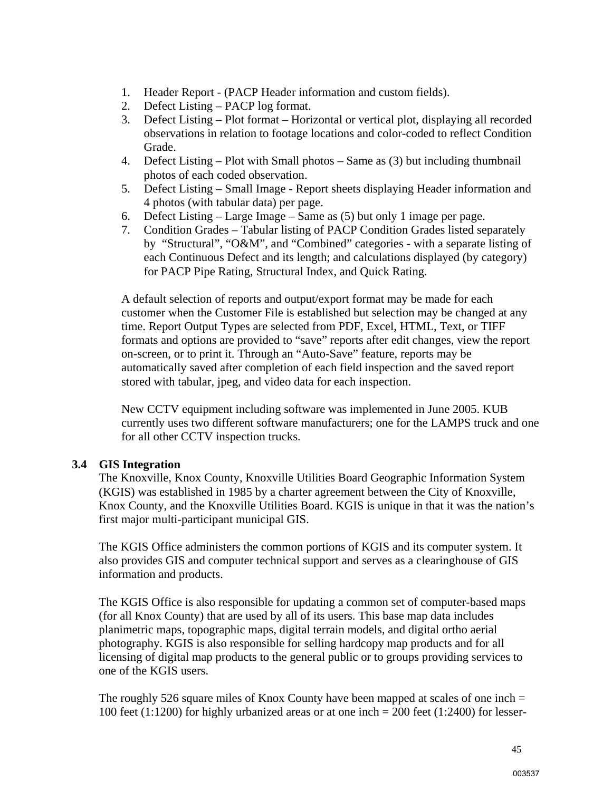- 1. Header Report (PACP Header information and custom fields).
- 2. Defect Listing PACP log format.
- 3. Defect Listing Plot format Horizontal or vertical plot, displaying all recorded observations in relation to footage locations and color-coded to reflect Condition Grade.
- 4. Defect Listing Plot with Small photos Same as (3) but including thumbnail photos of each coded observation.
- 5. Defect Listing Small Image Report sheets displaying Header information and 4 photos (with tabular data) per page.
- 6. Defect Listing Large Image Same as (5) but only 1 image per page.
- 7. Condition Grades Tabular listing of PACP Condition Grades listed separately by "Structural", "O&M", and "Combined" categories - with a separate listing of each Continuous Defect and its length; and calculations displayed (by category) for PACP Pipe Rating, Structural Index, and Quick Rating.

A default selection of reports and output/export format may be made for each customer when the Customer File is established but selection may be changed at any time. Report Output Types are selected from PDF, Excel, HTML, Text, or TIFF formats and options are provided to "save" reports after edit changes, view the report on-screen, or to print it. Through an "Auto-Save" feature, reports may be automatically saved after completion of each field inspection and the saved report stored with tabular, jpeg, and video data for each inspection.

New CCTV equipment including software was implemented in June 2005. KUB currently uses two different software manufacturers; one for the LAMPS truck and one for all other CCTV inspection trucks.

# **3.4 GIS Integration**

The Knoxville, Knox County, Knoxville Utilities Board Geographic Information System (KGIS) was established in 1985 by a charter agreement between the City of Knoxville, Knox County, and the Knoxville Utilities Board. KGIS is unique in that it was the nation's first major multi-participant municipal GIS.

The KGIS Office administers the common portions of KGIS and its computer system. It also provides GIS and computer technical support and serves as a clearinghouse of GIS information and products.

The KGIS Office is also responsible for updating a common set of computer-based maps (for all Knox County) that are used by all of its users. This base map data includes planimetric maps, topographic maps, digital terrain models, and digital ortho aerial photography. KGIS is also responsible for selling hardcopy map products and for all licensing of digital map products to the general public or to groups providing services to one of the KGIS users.

The roughly 526 square miles of Knox County have been mapped at scales of one inch  $=$ 100 feet (1:1200) for highly urbanized areas or at one inch = 200 feet (1:2400) for lesser-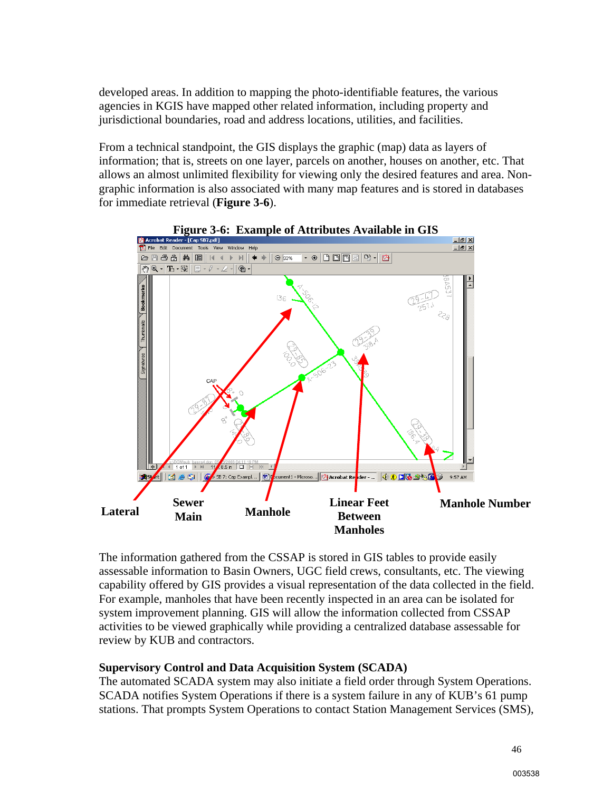developed areas. In addition to mapping the photo-identifiable features, the various agencies in KGIS have mapped other related information, including property and jurisdictional boundaries, road and address locations, utilities, and facilities.

From a technical standpoint, the GIS displays the graphic (map) data as layers of information; that is, streets on one layer, parcels on another, houses on another, etc. That allows an almost unlimited flexibility for viewing only the desired features and area. Nongraphic information is also associated with many map features and is stored in databases for immediate retrieval (**Figure 3-6**).



The information gathered from the CSSAP is stored in GIS tables to provide easily assessable information to Basin Owners, UGC field crews, consultants, etc. The viewing capability offered by GIS provides a visual representation of the data collected in the field. For example, manholes that have been recently inspected in an area can be isolated for system improvement planning. GIS will allow the information collected from CSSAP activities to be viewed graphically while providing a centralized database assessable for review by KUB and contractors.

#### **Supervisory Control and Data Acquisition System (SCADA)**

The automated SCADA system may also initiate a field order through System Operations. SCADA notifies System Operations if there is a system failure in any of KUB's 61 pump stations. That prompts System Operations to contact Station Management Services (SMS),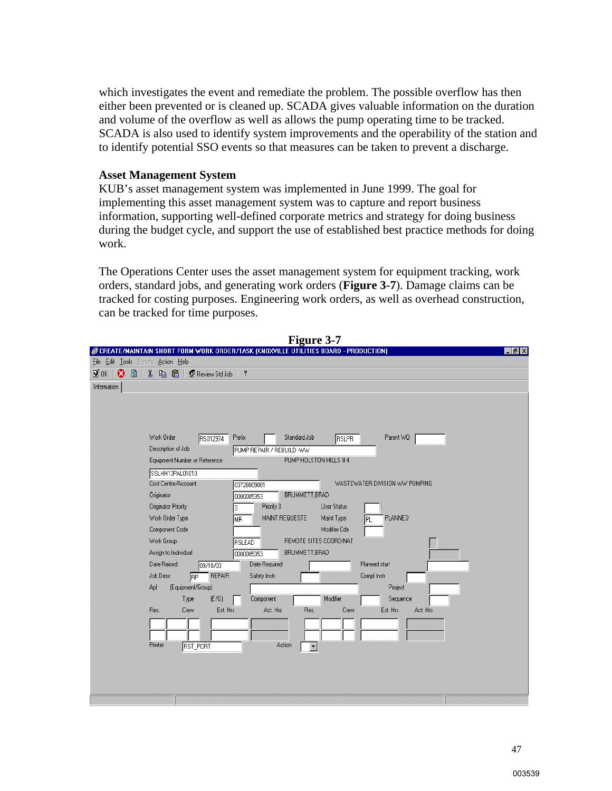which investigates the event and remediate the problem. The possible overflow has then either been prevented or is cleaned up. SCADA gives valuable information on the duration and volume of the overflow as well as allows the pump operating time to be tracked. SCADA is also used to identify system improvements and the operability of the station and to identify potential SSO events so that measures can be taken to prevent a discharge.

#### **Asset Management System**

KUB's asset management system was implemented in June 1999. The goal for implementing this asset management system was to capture and report business information, supporting well-defined corporate metrics and strategy for doing business during the budget cycle, and support the use of established best practice methods for doing work.

The Operations Center uses the asset management system for equipment tracking, work orders, standard jobs, and generating work orders (**Figure 3-7**). Damage claims can be tracked for costing purposes. Engineering work orders, as well as overhead construction, can be tracked for time purposes.

|                                                  | <b>Figure 3-7</b>                                                                     |        |
|--------------------------------------------------|---------------------------------------------------------------------------------------|--------|
|                                                  | M CREATE/MAINTAIN SHORT FORM WORK ORDER/TASK (KNOXVILLE UTILITIES BOARD - PRODUCTION) | $-17x$ |
| File Edit Tools Scripts Action Help              |                                                                                       |        |
| ⊛<br>蘭<br>- 26<br>4 倍<br>Q(0K)<br>Review Std Job | $\overline{?}$                                                                        |        |
| Information                                      |                                                                                       |        |
|                                                  |                                                                                       |        |
|                                                  |                                                                                       |        |
|                                                  |                                                                                       |        |
| Work Order<br>RS012974                           | Standard Job<br>Parent WO<br>Prefix<br><b>RSLPR</b>                                   |        |
| Description of Job                               | PUMP REPAIR / REBUILD - WW                                                            |        |
| Equipment Number or Reference                    | PUMP HOLSTON HILLS #4                                                                 |        |
| SSLHH13PAL01010                                  |                                                                                       |        |
| Cost Centre/Account                              | WASTEWATER DIVISION WW PUMPING<br>03728009081                                         |        |
| Originator                                       | BRUMMETT, BRAD<br>0000005353                                                          |        |
| Originator Priority                              | Priority 3<br>User Status<br>3                                                        |        |
| Work Order Type                                  | MAINT REQUESTE<br><b>PLANNED</b><br>Maint Type<br>MR<br>IPL                           |        |
| Component Code                                   | Modifier Cde                                                                          |        |
| Work Group                                       | REMOTE SITES COORDINAT<br><b>RSLEAD</b>                                               |        |
| Assign to Individual                             | BRUMMETT, BRAD<br>0000005353                                                          |        |
| Date Raised<br>09/18/03                          | Date Required<br>Planned start                                                        |        |
| <b>REPAIR</b><br>Job Desc<br><b>IRP</b>          | Compl Instr<br>Safety Instr                                                           |        |
| (Equipment/Group)<br>Apl                         | Project                                                                               |        |
| (E/G)<br>Type                                    | Modifier<br>Sequence<br>Component                                                     |        |
| Res.<br>Crew                                     | Est. Hrs<br>Act. Hrs<br>Res.<br>Est. Hrs<br>Act. Hrs<br>Crew                          |        |
|                                                  |                                                                                       |        |
|                                                  |                                                                                       |        |
| Printer<br>RST_PORT                              | Action<br>$\overline{\phantom{a}}$                                                    |        |
|                                                  |                                                                                       |        |
|                                                  |                                                                                       |        |
|                                                  |                                                                                       |        |
|                                                  |                                                                                       |        |